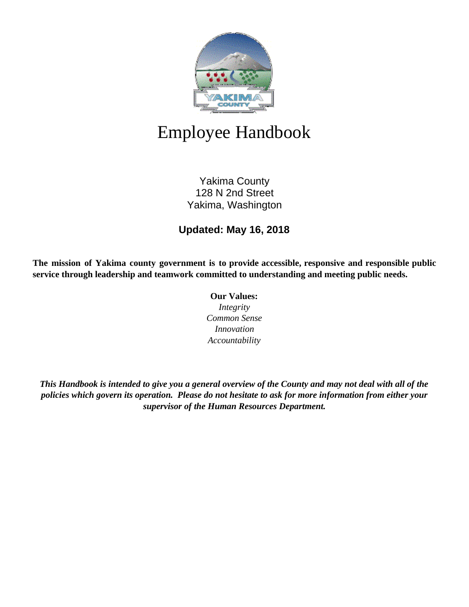

# Employee Handbook

Yakima County 128 N 2nd Street Yakima, Washington

## **Updated: May 16, 2018**

**The mission of Yakima county government is to provide accessible, responsive and responsible public service through leadership and teamwork committed to understanding and meeting public needs.**

**Our Values:**

*Integrity Common Sense Innovation Accountability*

*This Handbook is intended to give you a general overview of the County and may not deal with all of the policies which govern its operation. Please do not hesitate to ask for more information from either your supervisor of the Human Resources Department.*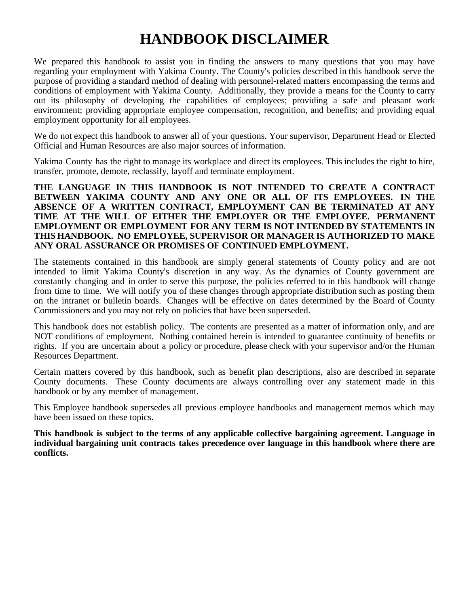## **HANDBOOK DISCLAIMER**

We prepared this handbook to assist you in finding the answers to many questions that you may have regarding your employment with Yakima County. The County's policies described in this handbook serve the purpose of providing a standard method of dealing with personnel-related matters encompassing the terms and conditions of employment with Yakima County. Additionally, they provide a means for the County to carry out its philosophy of developing the capabilities of employees; providing a safe and pleasant work environment; providing appropriate employee compensation, recognition, and benefits; and providing equal employment opportunity for all employees.

We do not expect this handbook to answer all of your questions. Your supervisor, Department Head or Elected Official and Human Resources are also major sources of information.

Yakima County has the right to manage its workplace and direct its employees. This includes the right to hire, transfer, promote, demote, reclassify, layoff and terminate employment.

**THE LANGUAGE IN THIS HANDBOOK IS NOT INTENDED TO CREATE A CONTRACT BETWEEN YAKIMA COUNTY AND ANY ONE OR ALL OF ITS EMPLOYEES. IN THE ABSENCE OF A WRITTEN CONTRACT, EMPLOYMENT CAN BE TERMINATED AT ANY TIME AT THE WILL OF EITHER THE EMPLOYER OR THE EMPLOYEE. PERMANENT EMPLOYMENT OR EMPLOYMENT FOR ANY TERM IS NOT INTENDED BY STATEMENTS IN THIS HANDBOOK. NO EMPLOYEE, SUPERVISOR OR MANAGER IS AUTHORIZED TO MAKE ANY ORAL ASSURANCE OR PROMISES OF CONTINUED EMPLOYMENT.**

The statements contained in this handbook are simply general statements of County policy and are not intended to limit Yakima County's discretion in any way. As the dynamics of County government are constantly changing and in order to serve this purpose, the policies referred to in this handbook will change from time to time. We will notify you of these changes through appropriate distribution such as posting them on the intranet or bulletin boards. Changes will be effective on dates determined by the Board of County Commissioners and you may not rely on policies that have been superseded.

This handbook does not establish policy. The contents are presented as a matter of information only, and are NOT conditions of employment. Nothing contained herein is intended to guarantee continuity of benefits or rights. If you are uncertain about a policy or procedure, please check with your supervisor and/or the Human Resources Department.

Certain matters covered by this handbook, such as benefit plan descriptions, also are described in separate County documents. These County documents are always controlling over any statement made in this handbook or by any member of management.

This Employee handbook supersedes all previous employee handbooks and management memos which may have been issued on these topics.

**This handbook is subject to the terms of any applicable collective bargaining agreement. Language in individual bargaining unit contracts takes precedence over language in this handbook where there are conflicts.**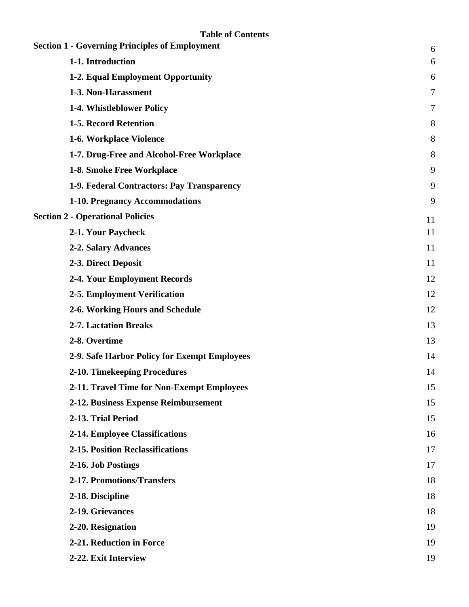| <b>Section 1 - Governing Principles of Employment</b> | $6\,$          |
|-------------------------------------------------------|----------------|
| 1-1. Introduction                                     | 6              |
| 1-2. Equal Employment Opportunity                     | 6              |
| 1-3. Non-Harassment                                   | $\overline{7}$ |
| 1-4. Whistleblower Policy                             | 7              |
| 1-5. Record Retention                                 | 8              |
| 1-6. Workplace Violence                               | 8              |
| 1-7. Drug-Free and Alcohol-Free Workplace             | 8              |
| 1-8. Smoke Free Workplace                             | 9              |
| 1-9. Federal Contractors: Pay Transparency            | 9              |
| 1-10. Pregnancy Accommodations                        | 9              |
| <b>Section 2 - Operational Policies</b>               | 11             |
| 2-1. Your Paycheck                                    | 11             |
| 2-2. Salary Advances                                  | 11             |
| 2-3. Direct Deposit                                   | 11             |
| 2-4. Your Employment Records                          | 12             |
| 2-5. Employment Verification                          | 12             |
| 2-6. Working Hours and Schedule                       | 12             |
| <b>2-7. Lactation Breaks</b>                          | 13             |
| 2-8. Overtime                                         | 13             |
| 2-9. Safe Harbor Policy for Exempt Employees          | 14             |
| 2-10. Timekeeping Procedures                          | 14             |
| 2-11. Travel Time for Non-Exempt Employees            | 15             |
| 2-12. Business Expense Reimbursement                  | 15             |
| 2-13. Trial Period                                    | 15             |
| 2-14. Employee Classifications                        | 16             |
| 2-15. Position Reclassifications                      | 17             |
| 2-16. Job Postings                                    | 17             |
| 2-17. Promotions/Transfers                            | 18             |
| 2-18. Discipline                                      | 18             |
| 2-19. Grievances                                      | 18             |
| 2-20. Resignation                                     | 19             |
| 2-21. Reduction in Force                              | 19             |
| 2-22. Exit Interview                                  | 19             |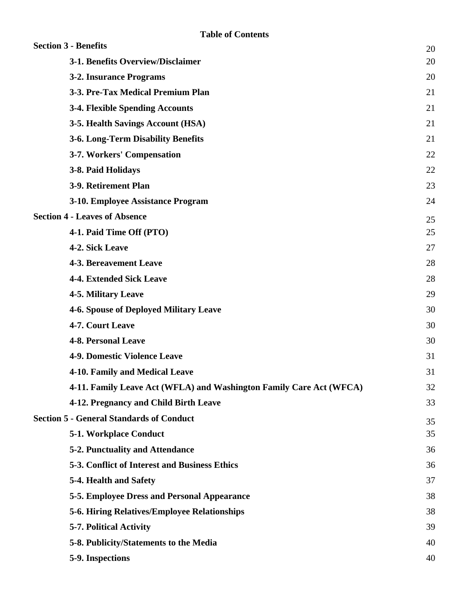| <b>Section 3 - Benefits</b>                                         | 20 |
|---------------------------------------------------------------------|----|
| 3-1. Benefits Overview/Disclaimer                                   | 20 |
| 3-2. Insurance Programs                                             | 20 |
| 3-3. Pre-Tax Medical Premium Plan                                   | 21 |
| <b>3-4. Flexible Spending Accounts</b>                              | 21 |
| 3-5. Health Savings Account (HSA)                                   | 21 |
| <b>3-6. Long-Term Disability Benefits</b>                           | 21 |
| 3-7. Workers' Compensation                                          | 22 |
| 3-8. Paid Holidays                                                  | 22 |
| 3-9. Retirement Plan                                                | 23 |
| 3-10. Employee Assistance Program                                   | 24 |
| <b>Section 4 - Leaves of Absence</b>                                | 25 |
| 4-1. Paid Time Off (PTO)                                            | 25 |
| 4-2. Sick Leave                                                     | 27 |
| <b>4-3. Bereavement Leave</b>                                       | 28 |
| <b>4-4. Extended Sick Leave</b>                                     | 28 |
| <b>4-5. Military Leave</b>                                          | 29 |
| <b>4-6. Spouse of Deployed Military Leave</b>                       | 30 |
| 4-7. Court Leave                                                    | 30 |
| <b>4-8. Personal Leave</b>                                          | 30 |
| <b>4-9. Domestic Violence Leave</b>                                 | 31 |
| 4-10. Family and Medical Leave                                      | 31 |
| 4-11. Family Leave Act (WFLA) and Washington Family Care Act (WFCA) | 32 |
| 4-12. Pregnancy and Child Birth Leave                               | 33 |
| <b>Section 5 - General Standards of Conduct</b>                     | 35 |
| 5-1. Workplace Conduct                                              | 35 |
| <b>5-2. Punctuality and Attendance</b>                              | 36 |
| 5-3. Conflict of Interest and Business Ethics                       | 36 |
| 5-4. Health and Safety                                              | 37 |
| 5-5. Employee Dress and Personal Appearance                         | 38 |
| 5-6. Hiring Relatives/Employee Relationships                        | 38 |
| <b>5-7. Political Activity</b>                                      | 39 |
| 5-8. Publicity/Statements to the Media                              | 40 |
| 5-9. Inspections                                                    | 40 |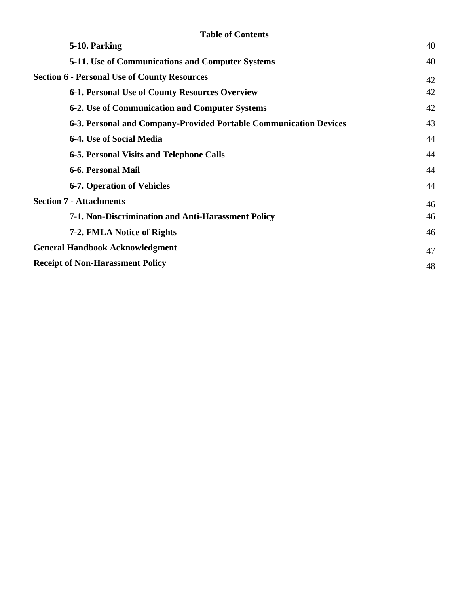| <b>Table of Contents</b>                                          |    |
|-------------------------------------------------------------------|----|
| 5-10. Parking                                                     | 40 |
| <b>5-11.</b> Use of Communications and Computer Systems           | 40 |
| <b>Section 6 - Personal Use of County Resources</b>               | 42 |
| 6-1. Personal Use of County Resources Overview                    | 42 |
| <b>6-2. Use of Communication and Computer Systems</b>             | 42 |
| 6-3. Personal and Company-Provided Portable Communication Devices | 43 |
| 6-4. Use of Social Media                                          | 44 |
| 6-5. Personal Visits and Telephone Calls                          | 44 |
| 6-6. Personal Mail                                                | 44 |
| <b>6-7. Operation of Vehicles</b>                                 | 44 |
| <b>Section 7 - Attachments</b>                                    | 46 |
| 7-1. Non-Discrimination and Anti-Harassment Policy                | 46 |
| 7-2. FMLA Notice of Rights                                        | 46 |
| <b>General Handbook Acknowledgment</b>                            | 47 |
| <b>Receipt of Non-Harassment Policy</b>                           | 48 |
|                                                                   |    |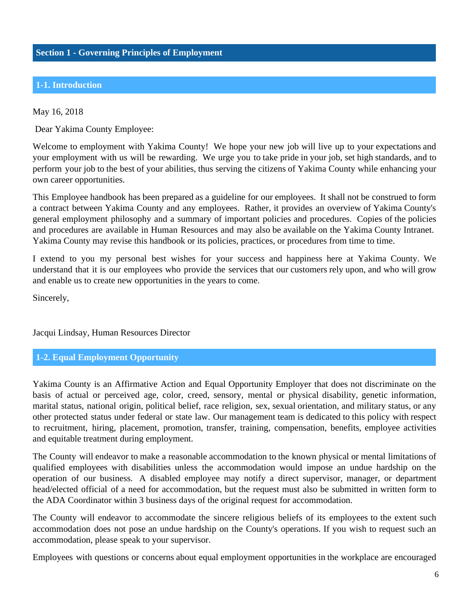## <span id="page-5-0"></span>**1-1. Introduction**

May 16, 2018

Dear Yakima County Employee:

Welcome to employment with Yakima County! We hope your new job will live up to your expectations and your employment with us will be rewarding. We urge you to take pride in your job, set high standards, and to perform your job to the best of your abilities, thus serving the citizens of Yakima County while enhancing your own career opportunities.

This Employee handbook has been prepared as a guideline for our employees. It shall not be construed to form a contract between Yakima County and any employees. Rather, it provides an overview of Yakima County's general employment philosophy and a summary of important policies and procedures. Copies of the policies and procedures are available in Human Resources and may also be available on the Yakima County Intranet. Yakima County may revise this handbook or its policies, practices, or procedures from time to time.

I extend to you my personal best wishes for your success and happiness here at Yakima County. We understand that it is our employees who provide the services that our customers rely upon, and who will grow and enable us to create new opportunities in the years to come.

Sincerely,

Jacqui Lindsay, Human Resources Director

#### **1-2. Equal Employment Opportunity**

Yakima County is an Affirmative Action and Equal Opportunity Employer that does not discriminate on the basis of actual or perceived age, color, creed, sensory, mental or physical disability, genetic information, marital status, national origin, political belief, race religion, sex, sexual orientation, and military status, or any other protected status under federal or state law. Our management team is dedicated to this policy with respect to recruitment, hiring, placement, promotion, transfer, training, compensation, benefits, employee activities and equitable treatment during employment.

The County will endeavor to make a reasonable accommodation to the known physical or mental limitations of qualified employees with disabilities unless the accommodation would impose an undue hardship on the operation of our business. A disabled employee may notify a direct supervisor, manager, or department head/elected official of a need for accommodation, but the request must also be submitted in written form to the ADA Coordinator within 3 business days of the original request for accommodation.

The County will endeavor to accommodate the sincere religious beliefs of its employees to the extent such accommodation does not pose an undue hardship on the County's operations. If you wish to request such an accommodation, please speak to your supervisor.

Employees with questions or concerns about equal employment opportunities in the workplace are encouraged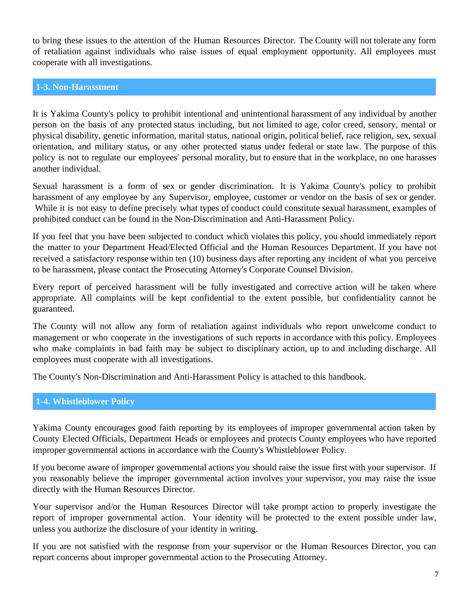<span id="page-6-0"></span>to bring these issues to the attention of the Human Resources Director. The County will not tolerate any form of retaliation against individuals who raise issues of equal employment opportunity. All employees must cooperate with all investigations.

#### **1-3. Non-Harassment**

It is Yakima County's policy to prohibit intentional and unintentional harassment of any individual by another person on the basis of any protected status including, but not limited to age, color creed, sensory, mental or physical disability, genetic information, marital status, national origin, political belief, race religion, sex, sexual orientation, and military status, or any other protected status under federal or state law. The purpose of this policy is not to regulate our employees' personal morality, but to ensure that in the workplace, no one harasses another individual.

Sexual harassment is a form of sex or gender discrimination. It is Yakima County's policy to prohibit harassment of any employee by any Supervisor, employee, customer or vendor on the basis of sex or gender. While it is not easy to define precisely what types of conduct could constitute sexual harassment, examples of prohibited conduct can be found in the Non-Discrimination and Anti-Harassment Policy.

If you feel that you have been subjected to conduct which violates this policy, you should immediately report the matter to your Department Head/Elected Official and the Human Resources Department. If you have not received a satisfactory response within ten (10) business days after reporting any incident of what you perceive to be harassment, please contact the Prosecuting Attorney's Corporate Counsel Division.

Every report of perceived harassment will be fully investigated and corrective action will be taken where appropriate. All complaints will be kept confidential to the extent possible, but confidentiality cannot be guaranteed.

The County will not allow any form of retaliation against individuals who report unwelcome conduct to management or who cooperate in the investigations of such reports in accordance with this policy. Employees who make complaints in bad faith may be subject to disciplinary action, up to and including discharge. All employees must cooperate with all investigations.

The County's Non-Discrimination and Anti-Harassment Policy is attached to this handbook.

## **1-4. Whistleblower Policy**

Yakima County encourages good faith reporting by its employees of improper governmental action taken by County Elected Officials, Department Heads or employees and protects County employees who have reported improper governmental actions in accordance with the County's Whistleblower Policy.

If you become aware of improper governmental actions you should raise the issue first with your supervisor. If you reasonably believe the improper governmental action involves your supervisor, you may raise the issue directly with the Human Resources Director.

Your supervisor and/or the Human Resources Director will take prompt action to properly investigate the report of improper governmental action. Your identity will be protected to the extent possible under law, unless you authorize the disclosure of your identity in writing.

If you are not satisfied with the response from your supervisor or the Human Resources Director, you can report concerns about improper governmental action to the Prosecuting Attorney.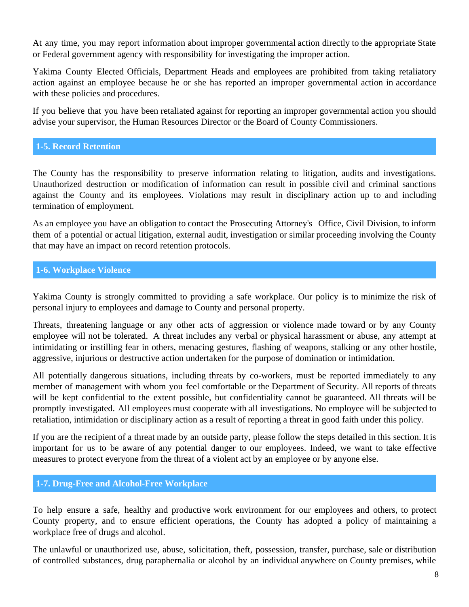<span id="page-7-0"></span>At any time, you may report information about improper governmental action directly to the appropriate State or Federal government agency with responsibility for investigating the improper action.

Yakima County Elected Officials, Department Heads and employees are prohibited from taking retaliatory action against an employee because he or she has reported an improper governmental action in accordance with these policies and procedures.

If you believe that you have been retaliated against for reporting an improper governmental action you should advise your supervisor, the Human Resources Director or the Board of County Commissioners.

## **1-5. Record Retention**

The County has the responsibility to preserve information relating to litigation, audits and investigations. Unauthorized destruction or modification of information can result in possible civil and criminal sanctions against the County and its employees. Violations may result in disciplinary action up to and including termination of employment.

As an employee you have an obligation to contact the Prosecuting Attorney's Office, Civil Division, to inform them of a potential or actual litigation, external audit, investigation or similar proceeding involving the County that may have an impact on record retention protocols.

#### **1-6. Workplace Violence**

Yakima County is strongly committed to providing a safe workplace. Our policy is to minimize the risk of personal injury to employees and damage to County and personal property.

Threats, threatening language or any other acts of aggression or violence made toward or by any County employee will not be tolerated. A threat includes any verbal or physical harassment or abuse, any attempt at intimidating or instilling fear in others, menacing gestures, flashing of weapons, stalking or any other hostile, aggressive, injurious or destructive action undertaken for the purpose of domination or intimidation.

All potentially dangerous situations, including threats by co-workers, must be reported immediately to any member of management with whom you feel comfortable or the Department of Security. All reports of threats will be kept confidential to the extent possible, but confidentiality cannot be guaranteed. All threats will be promptly investigated. All employees must cooperate with all investigations. No employee will be subjected to retaliation, intimidation or disciplinary action as a result of reporting a threat in good faith under this policy.

If you are the recipient of a threat made by an outside party, please follow the steps detailed in this section. It is important for us to be aware of any potential danger to our employees. Indeed, we want to take effective measures to protect everyone from the threat of a violent act by an employee or by anyone else.

#### **1-7. Drug-Free and Alcohol-Free Workplace**

To help ensure a safe, healthy and productive work environment for our employees and others, to protect County property, and to ensure efficient operations, the County has adopted a policy of maintaining a workplace free of drugs and alcohol.

The unlawful or unauthorized use, abuse, solicitation, theft, possession, transfer, purchase, sale or distribution of controlled substances, drug paraphernalia or alcohol by an individual anywhere on County premises, while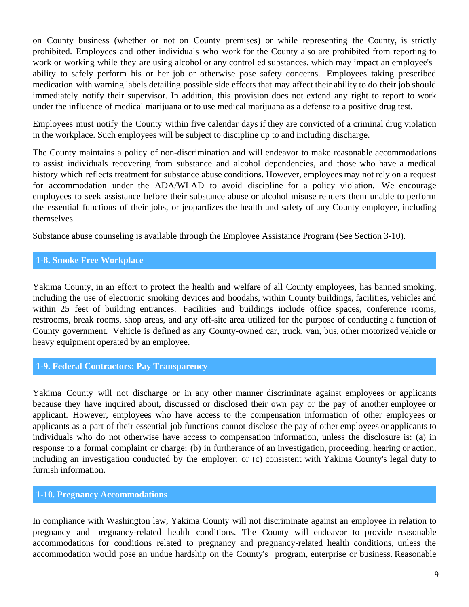<span id="page-8-0"></span>on County business (whether or not on County premises) or while representing the County, is strictly prohibited. Employees and other individuals who work for the County also are prohibited from reporting to work or working while they are using alcohol or any controlled substances, which may impact an employee's ability to safely perform his or her job or otherwise pose safety concerns. Employees taking prescribed medication with warning labels detailing possible side effects that may affect their ability to do their job should immediately notify their supervisor. In addition, this provision does not extend any right to report to work under the influence of medical marijuana or to use medical marijuana as a defense to a positive drug test.

Employees must notify the County within five calendar days if they are convicted of a criminal drug violation in the workplace. Such employees will be subject to discipline up to and including discharge.

The County maintains a policy of non-discrimination and will endeavor to make reasonable accommodations to assist individuals recovering from substance and alcohol dependencies, and those who have a medical history which reflects treatment for substance abuse conditions. However, employees may not rely on a request for accommodation under the ADA/WLAD to avoid discipline for a policy violation. We encourage employees to seek assistance before their substance abuse or alcohol misuse renders them unable to perform the essential functions of their jobs, or jeopardizes the health and safety of any County employee, including themselves.

Substance abuse counseling is available through the Employee Assistance Program (See Section 3-10).

## **1-8. Smoke Free Workplace**

Yakima County, in an effort to protect the health and welfare of all County employees, has banned smoking, including the use of electronic smoking devices and hoodahs, within County buildings, facilities, vehicles and within 25 feet of building entrances. Facilities and buildings include office spaces, conference rooms, restrooms, break rooms, shop areas, and any off-site area utilized for the purpose of conducting a function of County government. Vehicle is defined as any County-owned car, truck, van, bus, other motorized vehicle or heavy equipment operated by an employee.

## **1-9. Federal Contractors: Pay Transparency**

Yakima County will not discharge or in any other manner discriminate against employees or applicants because they have inquired about, discussed or disclosed their own pay or the pay of another employee or applicant. However, employees who have access to the compensation information of other employees or applicants as a part of their essential job functions cannot disclose the pay of other employees or applicants to individuals who do not otherwise have access to compensation information, unless the disclosure is: (a) in response to a formal complaint or charge; (b) in furtherance of an investigation, proceeding, hearing or action, including an investigation conducted by the employer; or (c) consistent with Yakima County's legal duty to furnish information.

#### **1-10. Pregnancy Accommodations**

In compliance with Washington law, Yakima County will not discriminate against an employee in relation to pregnancy and pregnancy-related health conditions. The County will endeavor to provide reasonable accommodations for conditions related to pregnancy and pregnancy-related health conditions, unless the accommodation would pose an undue hardship on the County's program, enterprise or business. Reasonable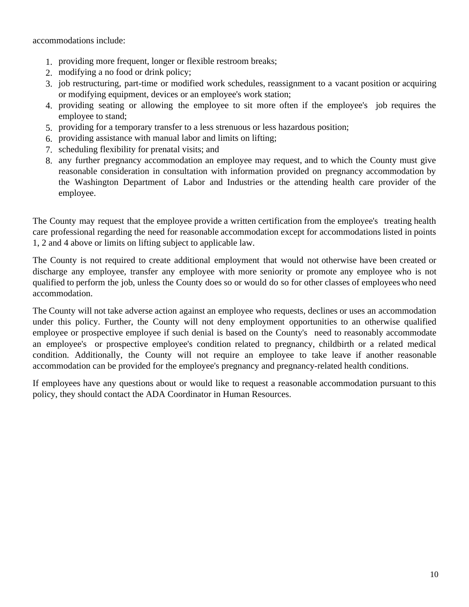accommodations include:

- 1. providing more frequent, longer or flexible restroom breaks;
- 2. modifying a no food or drink policy;
- 3. job restructuring, part-time or modified work schedules, reassignment to a vacant position or acquiring or modifying equipment, devices or an employee's work station;
- 4. providing seating or allowing the employee to sit more often if the employee's job requires the employee to stand;
- 5. providing for a temporary transfer to a less strenuous or less hazardous position;
- 6. providing assistance with manual labor and limits on lifting;
- 7. scheduling flexibility for prenatal visits; and
- 8. any further pregnancy accommodation an employee may request, and to which the County must give reasonable consideration in consultation with information provided on pregnancy accommodation by the Washington Department of Labor and Industries or the attending health care provider of the employee.

The County may request that the employee provide a written certification from the employee's treating health care professional regarding the need for reasonable accommodation except for accommodations listed in points 1, 2 and 4 above or limits on lifting subject to applicable law.

The County is not required to create additional employment that would not otherwise have been created or discharge any employee, transfer any employee with more seniority or promote any employee who is not qualified to perform the job, unless the County does so or would do so for other classes of employees who need accommodation.

The County will not take adverse action against an employee who requests, declines or uses an accommodation under this policy. Further, the County will not deny employment opportunities to an otherwise qualified employee or prospective employee if such denial is based on the County's need to reasonably accommodate an employee's or prospective employee's condition related to pregnancy, childbirth or a related medical condition. Additionally, the County will not require an employee to take leave if another reasonable accommodation can be provided for the employee's pregnancy and pregnancy-related health conditions.

If employees have any questions about or would like to request a reasonable accommodation pursuant to this policy, they should contact the ADA Coordinator in Human Resources.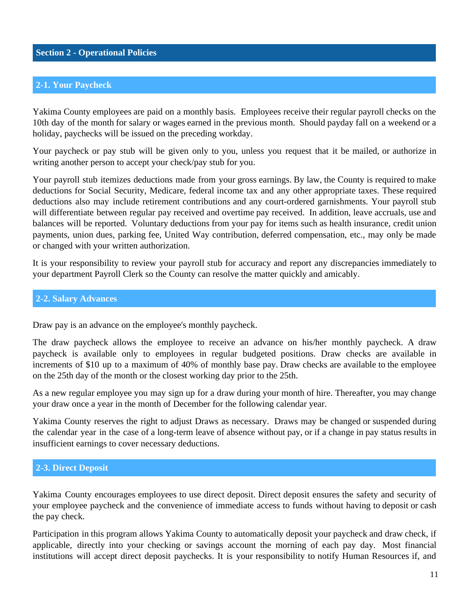## <span id="page-10-0"></span>**Section 2 - Operational Policies**

## **2-1. Your Paycheck**

Yakima County employees are paid on a monthly basis. Employees receive their regular payroll checks on the 10th day of the month for salary or wages earned in the previous month. Should payday fall on a weekend or a holiday, paychecks will be issued on the preceding workday.

Your paycheck or pay stub will be given only to you, unless you request that it be mailed, or authorize in writing another person to accept your check/pay stub for you.

Your payroll stub itemizes deductions made from your gross earnings. By law, the County is required to make deductions for Social Security, Medicare, federal income tax and any other appropriate taxes. These required deductions also may include retirement contributions and any court-ordered garnishments. Your payroll stub will differentiate between regular pay received and overtime pay received. In addition, leave accruals, use and balances will be reported. Voluntary deductions from your pay for items such as health insurance, credit union payments, union dues, parking fee, United Way contribution, deferred compensation, etc., may only be made or changed with your written authorization.

It is your responsibility to review your payroll stub for accuracy and report any discrepancies immediately to your department Payroll Clerk so the County can resolve the matter quickly and amicably.

#### **2-2. Salary Advances**

Draw pay is an advance on the employee's monthly paycheck.

The draw paycheck allows the employee to receive an advance on his/her monthly paycheck. A draw paycheck is available only to employees in regular budgeted positions. Draw checks are available in increments of \$10 up to a maximum of 40% of monthly base pay. Draw checks are available to the employee on the 25th day of the month or the closest working day prior to the 25th.

As a new regular employee you may sign up for a draw during your month of hire. Thereafter, you may change your draw once a year in the month of December for the following calendar year.

Yakima County reserves the right to adjust Draws as necessary. Draws may be changed or suspended during the calendar year in the case of a long-term leave of absence without pay, or if a change in pay status results in insufficient earnings to cover necessary deductions.

#### **2-3. Direct Deposit**

Yakima County encourages employees to use direct deposit. Direct deposit ensures the safety and security of your employee paycheck and the convenience of immediate access to funds without having to deposit or cash the pay check.

Participation in this program allows Yakima County to automatically deposit your paycheck and draw check, if applicable, directly into your checking or savings account the morning of each pay day. Most financial institutions will accept direct deposit paychecks. It is your responsibility to notify Human Resources if, and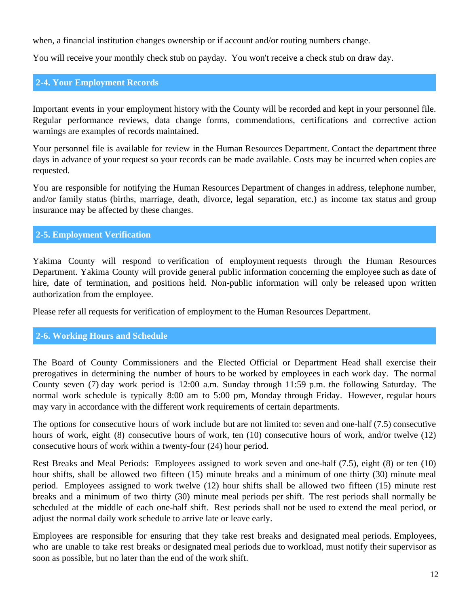<span id="page-11-0"></span>when, a financial institution changes ownership or if account and/or routing numbers change.

You will receive your monthly check stub on payday. You won't receive a check stub on draw day.

## **2-4. Your Employment Records**

Important events in your employment history with the County will be recorded and kept in your personnel file. Regular performance reviews, data change forms, commendations, certifications and corrective action warnings are examples of records maintained.

Your personnel file is available for review in the Human Resources Department. Contact the department three days in advance of your request so your records can be made available. Costs may be incurred when copies are requested.

You are responsible for notifying the Human Resources Department of changes in address, telephone number, and/or family status (births, marriage, death, divorce, legal separation, etc.) as income tax status and group insurance may be affected by these changes.

## **2-5. Employment Verification**

Yakima County will respond to verification of employment requests through the Human Resources Department. Yakima County will provide general public information concerning the employee such as date of hire, date of termination, and positions held. Non-public information will only be released upon written authorization from the employee.

Please refer all requests for verification of employment to the Human Resources Department.

#### **2-6. Working Hours and Schedule**

The Board of County Commissioners and the Elected Official or Department Head shall exercise their prerogatives in determining the number of hours to be worked by employees in each work day. The normal County seven (7) day work period is 12:00 a.m. Sunday through 11:59 p.m. the following Saturday. The normal work schedule is typically 8:00 am to 5:00 pm, Monday through Friday. However, regular hours may vary in accordance with the different work requirements of certain departments.

The options for consecutive hours of work include but are not limited to: seven and one-half (7.5) consecutive hours of work, eight (8) consecutive hours of work, ten (10) consecutive hours of work, and/or twelve (12) consecutive hours of work within a twenty-four (24) hour period.

Rest Breaks and Meal Periods: Employees assigned to work seven and one-half (7.5), eight (8) or ten (10) hour shifts, shall be allowed two fifteen (15) minute breaks and a minimum of one thirty (30) minute meal period. Employees assigned to work twelve (12) hour shifts shall be allowed two fifteen (15) minute rest breaks and a minimum of two thirty (30) minute meal periods per shift. The rest periods shall normally be scheduled at the middle of each one-half shift. Rest periods shall not be used to extend the meal period, or adjust the normal daily work schedule to arrive late or leave early.

Employees are responsible for ensuring that they take rest breaks and designated meal periods. Employees, who are unable to take rest breaks or designated meal periods due to workload, must notify their supervisor as soon as possible, but no later than the end of the work shift.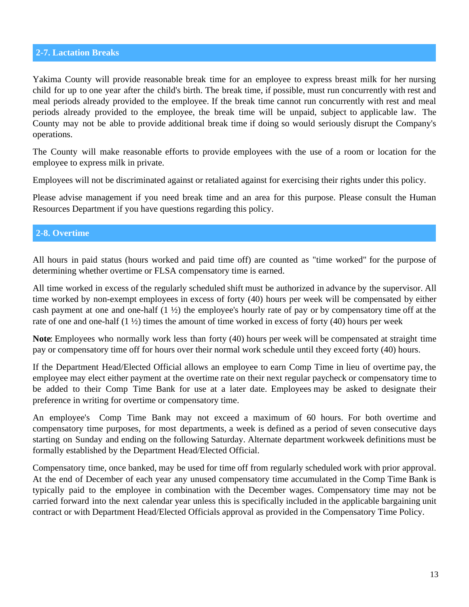#### <span id="page-12-0"></span>**2-7. Lactation Breaks**

Yakima County will provide reasonable break time for an employee to express breast milk for her nursing child for up to one year after the child's birth. The break time, if possible, must run concurrently with rest and meal periods already provided to the employee. If the break time cannot run concurrently with rest and meal periods already provided to the employee, the break time will be unpaid, subject to applicable law. The County may not be able to provide additional break time if doing so would seriously disrupt the Company's operations.

The County will make reasonable efforts to provide employees with the use of a room or location for the employee to express milk in private.

Employees will not be discriminated against or retaliated against for exercising their rights under this policy.

Please advise management if you need break time and an area for this purpose. Please consult the Human Resources Department if you have questions regarding this policy.

## **2-8. Overtime**

All hours in paid status (hours worked and paid time off) are counted as "time worked" for the purpose of determining whether overtime or FLSA compensatory time is earned.

All time worked in excess of the regularly scheduled shift must be authorized in advance by the supervisor. All time worked by non-exempt employees in excess of forty (40) hours per week will be compensated by either cash payment at one and one-half (1 ½) the employee's hourly rate of pay or by compensatory time off at the rate of one and one-half  $(1 \frac{1}{2})$  times the amount of time worked in excess of forty (40) hours per week

**Note**: Employees who normally work less than forty (40) hours per week will be compensated at straight time pay or compensatory time off for hours over their normal work schedule until they exceed forty (40) hours.

If the Department Head/Elected Official allows an employee to earn Comp Time in lieu of overtime pay, the employee may elect either payment at the overtime rate on their next regular paycheck or compensatory time to be added to their Comp Time Bank for use at a later date. Employees may be asked to designate their preference in writing for overtime or compensatory time.

An employee's Comp Time Bank may not exceed a maximum of 60 hours. For both overtime and compensatory time purposes, for most departments, a week is defined as a period of seven consecutive days starting on Sunday and ending on the following Saturday. Alternate department workweek definitions must be formally established by the Department Head/Elected Official.

Compensatory time, once banked, may be used for time off from regularly scheduled work with prior approval. At the end of December of each year any unused compensatory time accumulated in the Comp Time Bank is typically paid to the employee in combination with the December wages. Compensatory time may not be carried forward into the next calendar year unless this is specifically included in the applicable bargaining unit contract or with Department Head/Elected Officials approval as provided in the Compensatory Time Policy.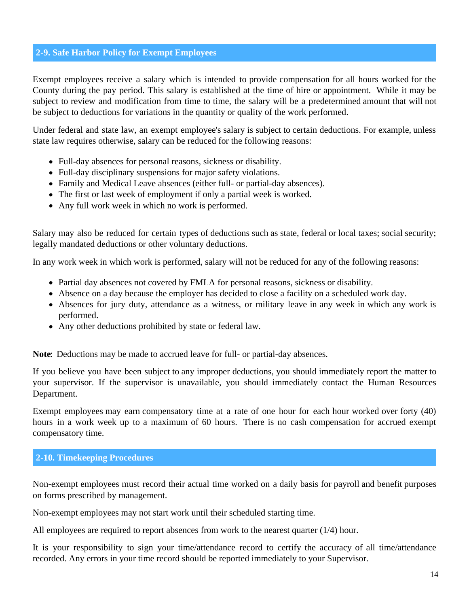## <span id="page-13-0"></span>**2-9. Safe Harbor Policy for Exempt Employees**

Exempt employees receive a salary which is intended to provide compensation for all hours worked for the County during the pay period. This salary is established at the time of hire or appointment. While it may be subject to review and modification from time to time, the salary will be a predetermined amount that will not be subject to deductions for variations in the quantity or quality of the work performed.

Under federal and state law, an exempt employee's salary is subject to certain deductions. For example, unless state law requires otherwise, salary can be reduced for the following reasons:

- Full-day absences for personal reasons, sickness or disability.
- Full-day disciplinary suspensions for major safety violations.
- Family and Medical Leave absences (either full- or partial-day absences).
- The first or last week of employment if only a partial week is worked.
- Any full work week in which no work is performed.

Salary may also be reduced for certain types of deductions such as state, federal or local taxes; social security; legally mandated deductions or other voluntary deductions.

In any work week in which work is performed, salary will not be reduced for any of the following reasons:

- Partial day absences not covered by FMLA for personal reasons, sickness or disability.
- Absence on a day because the employer has decided to close a facility on a scheduled work day.
- Absences for jury duty, attendance as a witness, or military leave in any week in which any work is performed.
- Any other deductions prohibited by state or federal law.

**Note**: Deductions may be made to accrued leave for full- or partial-day absences.

If you believe you have been subject to any improper deductions, you should immediately report the matter to your supervisor. If the supervisor is unavailable, you should immediately contact the Human Resources Department.

Exempt employees may earn compensatory time at a rate of one hour for each hour worked over forty (40) hours in a work week up to a maximum of 60 hours. There is no cash compensation for accrued exempt compensatory time.

#### **2-10. Timekeeping Procedures**

Non-exempt employees must record their actual time worked on a daily basis for payroll and benefit purposes on forms prescribed by management.

Non-exempt employees may not start work until their scheduled starting time.

All employees are required to report absences from work to the nearest quarter (1/4) hour.

It is your responsibility to sign your time/attendance record to certify the accuracy of all time/attendance recorded. Any errors in your time record should be reported immediately to your Supervisor.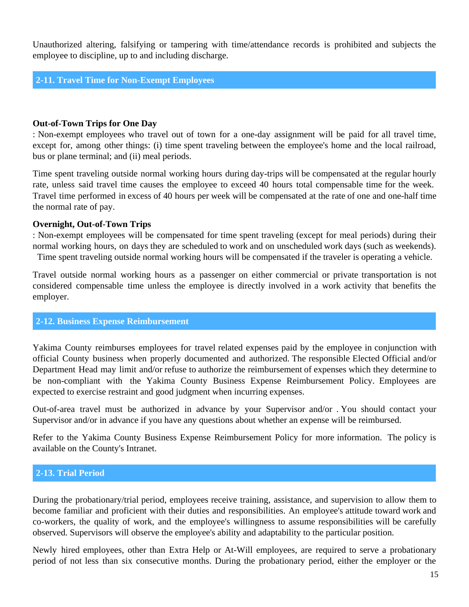<span id="page-14-0"></span>Unauthorized altering, falsifying or tampering with time/attendance records is prohibited and subjects the employee to discipline, up to and including discharge.

#### **2-11. Travel Time for Non-Exempt Employees**

#### **Out-of-Town Trips for One Day**

: Non-exempt employees who travel out of town for a one-day assignment will be paid for all travel time, except for, among other things: (i) time spent traveling between the employee's home and the local railroad, bus or plane terminal; and (ii) meal periods.

Time spent traveling outside normal working hours during day-trips will be compensated at the regular hourly rate, unless said travel time causes the employee to exceed 40 hours total compensable time for the week. Travel time performed in excess of 40 hours per week will be compensated at the rate of one and one-half time the normal rate of pay.

#### **Overnight, Out-of-Town Trips**

: Non-exempt employees will be compensated for time spent traveling (except for meal periods) during their normal working hours, on days they are scheduled to work and on unscheduled work days (such as weekends).

Time spent traveling outside normal working hours will be compensated if the traveler is operating a vehicle.

Travel outside normal working hours as a passenger on either commercial or private transportation is not considered compensable time unless the employee is directly involved in a work activity that benefits the employer.

#### **2-12. Business Expense Reimbursement**

Yakima County reimburses employees for travel related expenses paid by the employee in conjunction with official County business when properly documented and authorized. The responsible Elected Official and/or Department Head may limit and/or refuse to authorize the reimbursement of expenses which they determine to be non-compliant with the Yakima County Business Expense Reimbursement Policy. Employees are expected to exercise restraint and good judgment when incurring expenses.

Out-of-area travel must be authorized in advance by your Supervisor and/or . You should contact your Supervisor and/or in advance if you have any questions about whether an expense will be reimbursed.

Refer to the Yakima County Business Expense Reimbursement Policy for more information. The policy is available on the County's Intranet.

#### **2-13. Trial Period**

During the probationary/trial period, employees receive training, assistance, and supervision to allow them to become familiar and proficient with their duties and responsibilities. An employee's attitude toward work and co-workers, the quality of work, and the employee's willingness to assume responsibilities will be carefully observed. Supervisors will observe the employee's ability and adaptability to the particular position.

Newly hired employees, other than Extra Help or At-Will employees, are required to serve a probationary period of not less than six consecutive months. During the probationary period, either the employer or the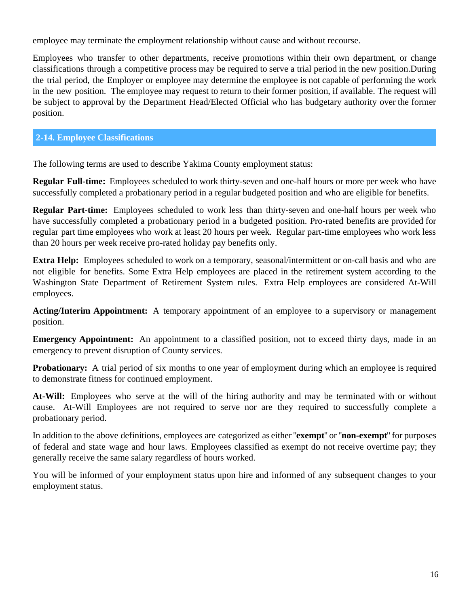<span id="page-15-0"></span>employee may terminate the employment relationship without cause and without recourse.

Employees who transfer to other departments, receive promotions within their own department, or change classifications through a competitive process may be required to serve a trial period in the new position.During the trial period, the Employer or employee may determine the employee is not capable of performing the work in the new position. The employee may request to return to their former position, if available. The request will be subject to approval by the Department Head/Elected Official who has budgetary authority over the former position.

## **2-14. Employee Classifications**

The following terms are used to describe Yakima County employment status:

**Regular Full-time:** Employees scheduled to work thirty-seven and one-half hours or more per week who have successfully completed a probationary period in a regular budgeted position and who are eligible for benefits.

**Regular Part-time:** Employees scheduled to work less than thirty-seven and one-half hours per week who have successfully completed a probationary period in a budgeted position. Pro-rated benefits are provided for regular part time employees who work at least 20 hours per week. Regular part-time employees who work less than 20 hours per week receive pro-rated holiday pay benefits only.

**Extra Help:** Employees scheduled to work on a temporary, seasonal/intermittent or on-call basis and who are not eligible for benefits. Some Extra Help employees are placed in the retirement system according to the Washington State Department of Retirement System rules. Extra Help employees are considered At-Will employees.

**Acting/Interim Appointment:** A temporary appointment of an employee to a supervisory or management position.

**Emergency Appointment:** An appointment to a classified position, not to exceed thirty days, made in an emergency to prevent disruption of County services.

**Probationary:** A trial period of six months to one year of employment during which an employee is required to demonstrate fitness for continued employment.

**At-Will:** Employees who serve at the will of the hiring authority and may be terminated with or without cause. At-Will Employees are not required to serve nor are they required to successfully complete a probationary period.

In addition to the above definitions, employees are categorized as either "**exempt**" or "**non-exempt**" for purposes of federal and state wage and hour laws. Employees classified as exempt do not receive overtime pay; they generally receive the same salary regardless of hours worked.

You will be informed of your employment status upon hire and informed of any subsequent changes to your employment status.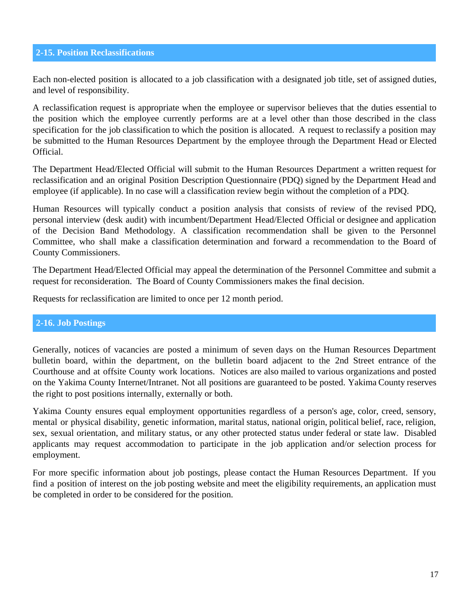## <span id="page-16-0"></span>**2-15. Position Reclassifications**

Each non-elected position is allocated to a job classification with a designated job title, set of assigned duties, and level of responsibility.

A reclassification request is appropriate when the employee or supervisor believes that the duties essential to the position which the employee currently performs are at a level other than those described in the class specification for the job classification to which the position is allocated. A request to reclassify a position may be submitted to the Human Resources Department by the employee through the Department Head or Elected Official.

The Department Head/Elected Official will submit to the Human Resources Department a written request for reclassification and an original Position Description Questionnaire (PDQ) signed by the Department Head and employee (if applicable). In no case will a classification review begin without the completion of a PDQ.

Human Resources will typically conduct a position analysis that consists of review of the revised PDQ, personal interview (desk audit) with incumbent/Department Head/Elected Official or designee and application of the Decision Band Methodology. A classification recommendation shall be given to the Personnel Committee, who shall make a classification determination and forward a recommendation to the Board of County Commissioners.

The Department Head/Elected Official may appeal the determination of the Personnel Committee and submit a request for reconsideration. The Board of County Commissioners makes the final decision.

Requests for reclassification are limited to once per 12 month period.

#### **2-16. Job Postings**

Generally, notices of vacancies are posted a minimum of seven days on the Human Resources Department bulletin board, within the department, on the bulletin board adjacent to the 2nd Street entrance of the Courthouse and at offsite County work locations. Notices are also mailed to various organizations and posted on the Yakima County Internet/Intranet. Not all positions are guaranteed to be posted. Yakima County reserves the right to post positions internally, externally or both.

Yakima County ensures equal employment opportunities regardless of a person's age, color, creed, sensory, mental or physical disability, genetic information, marital status, national origin, political belief, race, religion, sex, sexual orientation, and military status, or any other protected status under federal or state law. Disabled applicants may request accommodation to participate in the job application and/or selection process for employment.

For more specific information about job postings, please contact the Human Resources Department. If you find a position of interest on the job posting website and meet the eligibility requirements, an application must be completed in order to be considered for the position.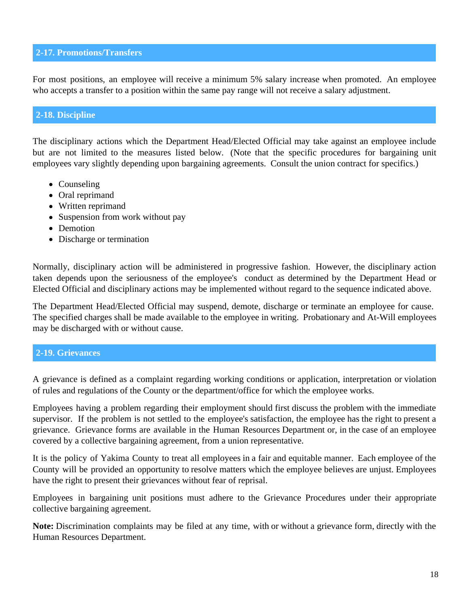## <span id="page-17-0"></span>**2-17. Promotions/Transfers**

For most positions, an employee will receive a minimum 5% salary increase when promoted. An employee who accepts a transfer to a position within the same pay range will not receive a salary adjustment.

#### **2-18. Discipline**

The disciplinary actions which the Department Head/Elected Official may take against an employee include but are not limited to the measures listed below. (Note that the specific procedures for bargaining unit employees vary slightly depending upon bargaining agreements. Consult the union contract for specifics.)

- Counseling
- Oral reprimand
- Written reprimand
- Suspension from work without pay
- Demotion
- Discharge or termination

Normally, disciplinary action will be administered in progressive fashion. However, the disciplinary action taken depends upon the seriousness of the employee's conduct as determined by the Department Head or Elected Official and disciplinary actions may be implemented without regard to the sequence indicated above.

The Department Head/Elected Official may suspend, demote, discharge or terminate an employee for cause. The specified charges shall be made available to the employee in writing. Probationary and At-Will employees may be discharged with or without cause.

#### **2-19. Grievances**

A grievance is defined as a complaint regarding working conditions or application, interpretation or violation of rules and regulations of the County or the department/office for which the employee works.

Employees having a problem regarding their employment should first discuss the problem with the immediate supervisor. If the problem is not settled to the employee's satisfaction, the employee has the right to present a grievance. Grievance forms are available in the Human Resources Department or, in the case of an employee covered by a collective bargaining agreement, from a union representative.

It is the policy of Yakima County to treat all employees in a fair and equitable manner. Each employee of the County will be provided an opportunity to resolve matters which the employee believes are unjust. Employees have the right to present their grievances without fear of reprisal.

Employees in bargaining unit positions must adhere to the Grievance Procedures under their appropriate collective bargaining agreement.

**Note:** Discrimination complaints may be filed at any time, with or without a grievance form, directly with the Human Resources Department.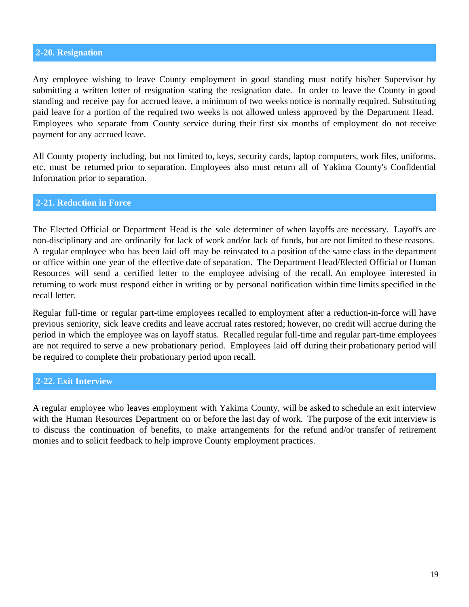## <span id="page-18-0"></span>**2-20. Resignation**

Any employee wishing to leave County employment in good standing must notify his/her Supervisor by submitting a written letter of resignation stating the resignation date. In order to leave the County in good standing and receive pay for accrued leave, a minimum of two weeks notice is normally required. Substituting paid leave for a portion of the required two weeks is not allowed unless approved by the Department Head. Employees who separate from County service during their first six months of employment do not receive payment for any accrued leave.

All County property including, but not limited to, keys, security cards, laptop computers, work files, uniforms, etc. must be returned prior to separation. Employees also must return all of Yakima County's Confidential Information prior to separation.

#### **2-21. Reduction in Force**

The Elected Official or Department Head is the sole determiner of when layoffs are necessary. Layoffs are non-disciplinary and are ordinarily for lack of work and/or lack of funds, but are not limited to these reasons. A regular employee who has been laid off may be reinstated to a position of the same class in the department or office within one year of the effective date of separation. The Department Head/Elected Official or Human Resources will send a certified letter to the employee advising of the recall. An employee interested in returning to work must respond either in writing or by personal notification within time limits specified in the recall letter.

Regular full-time or regular part-time employees recalled to employment after a reduction-in-force will have previous seniority, sick leave credits and leave accrual rates restored; however, no credit will accrue during the period in which the employee was on layoff status. Recalled regular full-time and regular part-time employees are not required to serve a new probationary period. Employees laid off during their probationary period will be required to complete their probationary period upon recall.

#### **2-22. Exit Interview**

A regular employee who leaves employment with Yakima County, will be asked to schedule an exit interview with the Human Resources Department on or before the last day of work. The purpose of the exit interview is to discuss the continuation of benefits, to make arrangements for the refund and/or transfer of retirement monies and to solicit feedback to help improve County employment practices.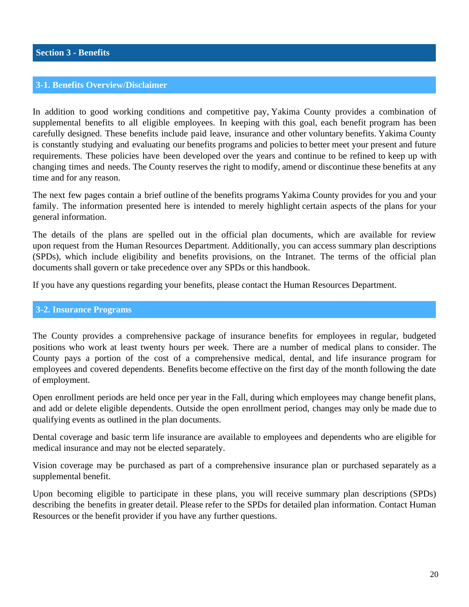### <span id="page-19-0"></span>**3-1. Benefits Overview/Disclaimer**

In addition to good working conditions and competitive pay, Yakima County provides a combination of supplemental benefits to all eligible employees. In keeping with this goal, each benefit program has been carefully designed. These benefits include paid leave, insurance and other voluntary benefits. Yakima County is constantly studying and evaluating our benefits programs and policies to better meet your present and future requirements. These policies have been developed over the years and continue to be refined to keep up with changing times and needs. The County reserves the right to modify, amend or discontinue these benefits at any time and for any reason.

The next few pages contain a brief outline of the benefits programs Yakima County provides for you and your family. The information presented here is intended to merely highlight certain aspects of the plans for your general information.

The details of the plans are spelled out in the official plan documents, which are available for review upon request from the Human Resources Department. Additionally, you can access summary plan descriptions (SPDs), which include eligibility and benefits provisions, on the Intranet. The terms of the official plan documents shall govern or take precedence over any SPDs or this handbook.

If you have any questions regarding your benefits, please contact the Human Resources Department.

#### **3-2. Insurance Programs**

The County provides a comprehensive package of insurance benefits for employees in regular, budgeted positions who work at least twenty hours per week. There are a number of medical plans to consider. The County pays a portion of the cost of a comprehensive medical, dental, and life insurance program for employees and covered dependents. Benefits become effective on the first day of the month following the date of employment.

Open enrollment periods are held once per year in the Fall, during which employees may change benefit plans, and add or delete eligible dependents. Outside the open enrollment period, changes may only be made due to qualifying events as outlined in the plan documents.

Dental coverage and basic term life insurance are available to employees and dependents who are eligible for medical insurance and may not be elected separately.

Vision coverage may be purchased as part of a comprehensive insurance plan or purchased separately as a supplemental benefit.

Upon becoming eligible to participate in these plans, you will receive summary plan descriptions (SPDs) describing the benefits in greater detail. Please refer to the SPDs for detailed plan information. Contact Human Resources or the benefit provider if you have any further questions.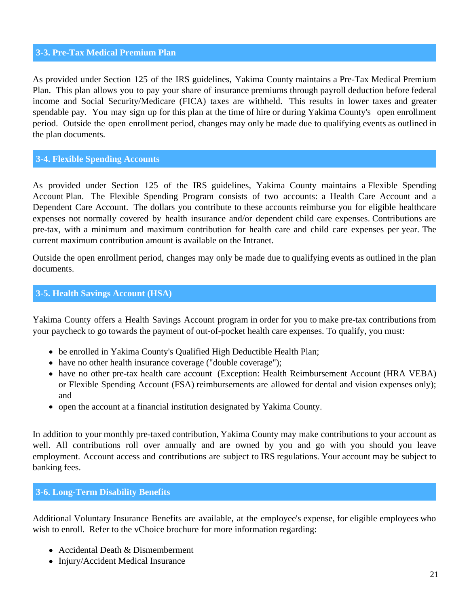#### <span id="page-20-0"></span>**3-3. Pre-Tax Medical Premium Plan**

As provided under Section 125 of the IRS guidelines, Yakima County maintains a Pre-Tax Medical Premium Plan. This plan allows you to pay your share of insurance premiums through payroll deduction before federal income and Social Security/Medicare (FICA) taxes are withheld. This results in lower taxes and greater spendable pay. You may sign up for this plan at the time of hire or during Yakima County's open enrollment period. Outside the open enrollment period, changes may only be made due to qualifying events as outlined in the plan documents.

#### **3-4. Flexible Spending Accounts**

As provided under Section 125 of the IRS guidelines, Yakima County maintains a Flexible Spending Account Plan. The Flexible Spending Program consists of two accounts: a Health Care Account and a Dependent Care Account. The dollars you contribute to these accounts reimburse you for eligible healthcare expenses not normally covered by health insurance and/or dependent child care expenses. Contributions are pre-tax, with a minimum and maximum contribution for health care and child care expenses per year. The current maximum contribution amount is available on the Intranet.

Outside the open enrollment period, changes may only be made due to qualifying events as outlined in the plan documents.

#### **3-5. Health Savings Account (HSA)**

Yakima County offers a Health Savings Account program in order for you to make pre-tax contributions from your paycheck to go towards the payment of out-of-pocket health care expenses. To qualify, you must:

- be enrolled in Yakima County's Qualified High Deductible Health Plan;
- have no other health insurance coverage ("double coverage");
- have no other pre-tax health care account (Exception: Health Reimbursement Account (HRA VEBA) or Flexible Spending Account (FSA) reimbursements are allowed for dental and vision expenses only); and
- open the account at a financial institution designated by Yakima County.

In addition to your monthly pre-taxed contribution, Yakima County may make contributions to your account as well. All contributions roll over annually and are owned by you and go with you should you leave employment. Account access and contributions are subject to IRS regulations. Your account may be subject to banking fees.

#### **3-6. Long-Term Disability Benefits**

Additional Voluntary Insurance Benefits are available, at the employee's expense, for eligible employees who wish to enroll. Refer to the vChoice brochure for more information regarding:

- Accidental Death & Dismemberment
- Injury/Accident Medical Insurance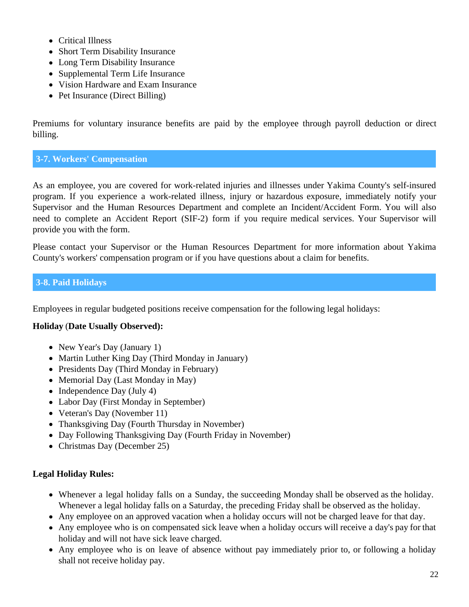- <span id="page-21-0"></span>Critical Illness
- Short Term Disability Insurance
- Long Term Disability Insurance
- Supplemental Term Life Insurance
- Vision Hardware and Exam Insurance
- Pet Insurance (Direct Billing)

Premiums for voluntary insurance benefits are paid by the employee through payroll deduction or direct billing.

## **3-7. Workers' Compensation**

As an employee, you are covered for work-related injuries and illnesses under Yakima County's self-insured program. If you experience a work-related illness, injury or hazardous exposure, immediately notify your Supervisor and the Human Resources Department and complete an Incident/Accident Form. You will also need to complete an Accident Report (SIF-2) form if you require medical services. Your Supervisor will provide you with the form.

Please contact your Supervisor or the Human Resources Department for more information about Yakima County's workers' compensation program or if you have questions about a claim for benefits.

## **3-8. Paid Holidays**

Employees in regular budgeted positions receive compensation for the following legal holidays:

## **Holiday** (**Date Usually Observed):**

- New Year's Day (January 1)
- Martin Luther King Day (Third Monday in January)
- Presidents Day (Third Monday in February)
- Memorial Day (Last Monday in May)
- $\bullet$  Independence Day (July 4)
- Labor Day (First Monday in September)
- Veteran's Day (November 11)
- Thanksgiving Day (Fourth Thursday in November)
- Day Following Thanksgiving Day (Fourth Friday in November)
- Christmas Day (December 25)

## **Legal Holiday Rules:**

- Whenever a legal holiday falls on a Sunday, the succeeding Monday shall be observed as the holiday. Whenever a legal holiday falls on a Saturday, the preceding Friday shall be observed as the holiday.
- Any employee on an approved vacation when a holiday occurs will not be charged leave for that day.
- Any employee who is on compensated sick leave when a holiday occurs will receive a day's pay for that holiday and will not have sick leave charged.
- Any employee who is on leave of absence without pay immediately prior to, or following a holiday shall not receive holiday pay.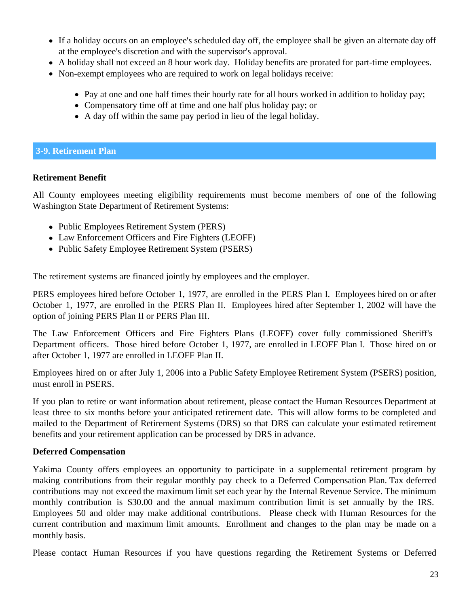- <span id="page-22-0"></span>If a holiday occurs on an employee's scheduled day off, the employee shall be given an alternate day off at the employee's discretion and with the supervisor's approval.
- A holiday shall not exceed an 8 hour work day. Holiday benefits are prorated for part-time employees.
- Non-exempt employees who are required to work on legal holidays receive:
	- Pay at one and one half times their hourly rate for all hours worked in addition to holiday pay;
	- Compensatory time off at time and one half plus holiday pay; or
	- A day off within the same pay period in lieu of the legal holiday.

## **3-9. Retirement Plan**

## **Retirement Benefit**

All County employees meeting eligibility requirements must become members of one of the following Washington State Department of Retirement Systems:

- Public Employees Retirement System (PERS)
- Law Enforcement Officers and Fire Fighters (LEOFF)
- Public Safety Employee Retirement System (PSERS)

The retirement systems are financed jointly by employees and the employer.

PERS employees hired before October 1, 1977, are enrolled in the PERS Plan I. Employees hired on or after October 1, 1977, are enrolled in the PERS Plan II. Employees hired after September 1, 2002 will have the option of joining PERS Plan II or PERS Plan III.

The Law Enforcement Officers and Fire Fighters Plans (LEOFF) cover fully commissioned Sheriff's Department officers. Those hired before October 1, 1977, are enrolled in LEOFF Plan I. Those hired on or after October 1, 1977 are enrolled in LEOFF Plan II.

Employees hired on or after July 1, 2006 into a Public Safety Employee Retirement System (PSERS) position, must enroll in PSERS.

If you plan to retire or want information about retirement, please contact the Human Resources Department at least three to six months before your anticipated retirement date. This will allow forms to be completed and mailed to the Department of Retirement Systems (DRS) so that DRS can calculate your estimated retirement benefits and your retirement application can be processed by DRS in advance.

## **Deferred Compensation**

Yakima County offers employees an opportunity to participate in a supplemental retirement program by making contributions from their regular monthly pay check to a Deferred Compensation Plan. Tax deferred contributions may not exceed the maximum limit set each year by the Internal Revenue Service. The minimum monthly contribution is \$30.00 and the annual maximum contribution limit is set annually by the IRS. Employees 50 and older may make additional contributions. Please check with Human Resources for the current contribution and maximum limit amounts. Enrollment and changes to the plan may be made on a monthly basis.

Please contact Human Resources if you have questions regarding the Retirement Systems or Deferred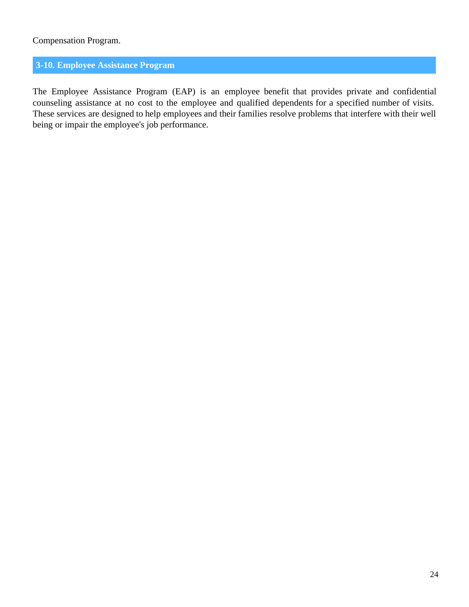## <span id="page-23-0"></span>Compensation Program.

## **3-10. Employee Assistance Program**

The Employee Assistance Program (EAP) is an employee benefit that provides private and confidential counseling assistance at no cost to the employee and qualified dependents for a specified number of visits. These services are designed to help employees and their families resolve problems that interfere with their well being or impair the employee's job performance.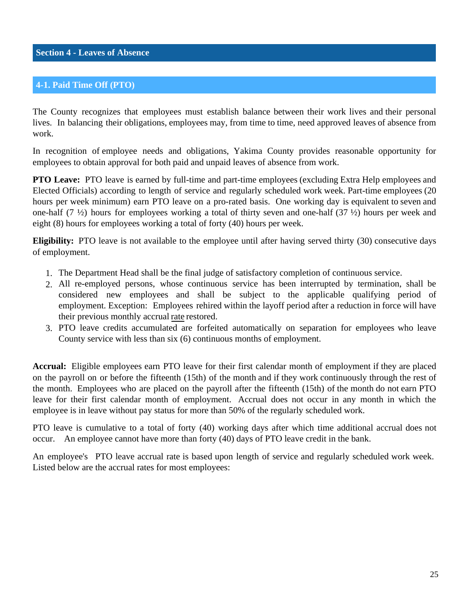## <span id="page-24-0"></span>**4-1. Paid Time Off (PTO)**

The County recognizes that employees must establish balance between their work lives and their personal lives. In balancing their obligations, employees may, from time to time, need approved leaves of absence from work.

In recognition of employee needs and obligations, Yakima County provides reasonable opportunity for employees to obtain approval for both paid and unpaid leaves of absence from work.

**PTO** Leave: PTO leave is earned by full-time and part-time employees (excluding Extra Help employees and Elected Officials) according to length of service and regularly scheduled work week. Part-time employees (20 hours per week minimum) earn PTO leave on a pro-rated basis. One working day is equivalent to seven and one-half (7 ½) hours for employees working a total of thirty seven and one-half (37 ½) hours per week and eight (8) hours for employees working a total of forty (40) hours per week.

**Eligibility:** PTO leave is not available to the employee until after having served thirty (30) consecutive days of employment.

- 1. The Department Head shall be the final judge of satisfactory completion of continuous service.
- 2. All re-employed persons, whose continuous service has been interrupted by termination, shall be considered new employees and shall be subject to the applicable qualifying period of employment. Exception: Employees rehired within the layoff period after a reduction in force will have their previous monthly accrual rate restored.
- 3. PTO leave credits accumulated are forfeited automatically on separation for employees who leave County service with less than six (6) continuous months of employment.

**Accrual:** Eligible employees earn PTO leave for their first calendar month of employment if they are placed on the payroll on or before the fifteenth (15th) of the month and if they work continuously through the rest of the month. Employees who are placed on the payroll after the fifteenth (15th) of the month do not earn PTO leave for their first calendar month of employment. Accrual does not occur in any month in which the employee is in leave without pay status for more than 50% of the regularly scheduled work.

PTO leave is cumulative to a total of forty (40) working days after which time additional accrual does not occur. An employee cannot have more than forty (40) days of PTO leave credit in the bank.

An employee's PTO leave accrual rate is based upon length of service and regularly scheduled work week. Listed below are the accrual rates for most employees: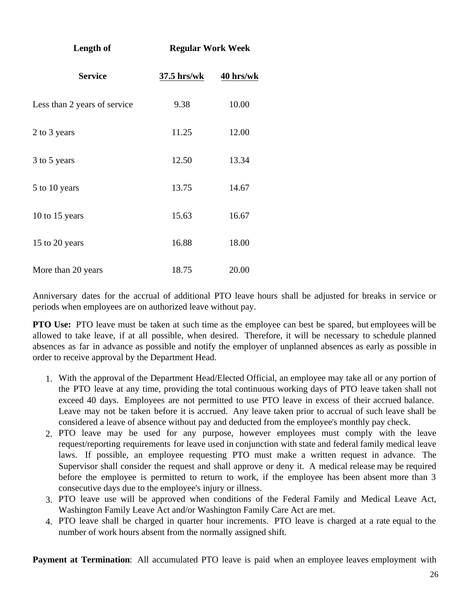| Length of                    | <b>Regular Work Week</b> |           |  |  |
|------------------------------|--------------------------|-----------|--|--|
| <b>Service</b>               | $37.5$ hrs/wk            | 40 hrs/wk |  |  |
| Less than 2 years of service | 9.38                     | 10.00     |  |  |
| 2 to 3 years                 | 11.25                    | 12.00     |  |  |
| 3 to 5 years                 | 12.50                    | 13.34     |  |  |
| 5 to 10 years                | 13.75                    | 14.67     |  |  |
| 10 to 15 years               | 15.63                    | 16.67     |  |  |
| 15 to 20 years               | 16.88                    | 18.00     |  |  |
| More than 20 years           | 18.75                    | 20.00     |  |  |

Anniversary dates for the accrual of additional PTO leave hours shall be adjusted for breaks in service or periods when employees are on authorized leave without pay.

**PTO** Use: PTO leave must be taken at such time as the employee can best be spared, but employees will be allowed to take leave, if at all possible, when desired. Therefore, it will be necessary to schedule planned absences as far in advance as possible and notify the employer of unplanned absences as early as possible in order to receive approval by the Department Head.

- 1. With the approval of the Department Head/Elected Official, an employee may take all or any portion of the PTO leave at any time, providing the total continuous working days of PTO leave taken shall not exceed 40 days. Employees are not permitted to use PTO leave in excess of their accrued balance. Leave may not be taken before it is accrued. Any leave taken prior to accrual of such leave shall be considered a leave of absence without pay and deducted from the employee's monthly pay check.
- 2. PTO leave may be used for any purpose, however employees must comply with the leave request/reporting requirements for leave used in conjunction with state and federal family medical leave laws. If possible, an employee requesting PTO must make a written request in advance. The Supervisor shall consider the request and shall approve or deny it. A medical release may be required before the employee is permitted to return to work, if the employee has been absent more than 3 consecutive days due to the employee's injury or illness.
- 3. PTO leave use will be approved when conditions of the Federal Family and Medical Leave Act, Washington Family Leave Act and/or Washington Family Care Act are met.
- 4. PTO leave shall be charged in quarter hour increments. PTO leave is charged at a rate equal to the number of work hours absent from the normally assigned shift.

**Payment at Termination**: All accumulated PTO leave is paid when an employee leaves employment with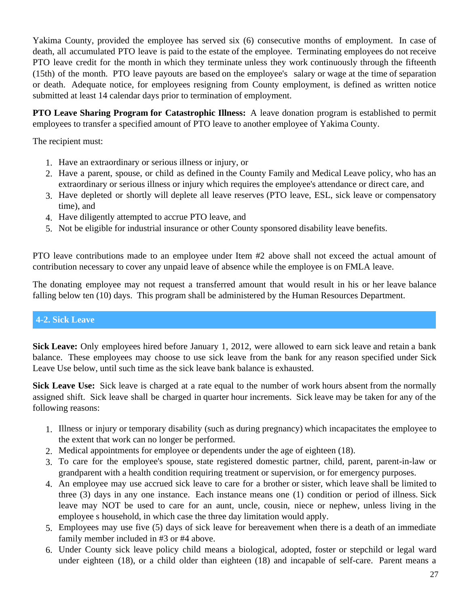<span id="page-26-0"></span>Yakima County, provided the employee has served six (6) consecutive months of employment. In case of death, all accumulated PTO leave is paid to the estate of the employee. Terminating employees do not receive PTO leave credit for the month in which they terminate unless they work continuously through the fifteenth (15th) of the month. PTO leave payouts are based on the employee's salary or wage at the time of separation or death. Adequate notice, for employees resigning from County employment, is defined as written notice submitted at least 14 calendar days prior to termination of employment.

**PTO Leave Sharing Program for Catastrophic Illness:** A leave donation program is established to permit employees to transfer a specified amount of PTO leave to another employee of Yakima County.

The recipient must:

- 1. Have an extraordinary or serious illness or injury, or
- 2. Have a parent, spouse, or child as defined in the County Family and Medical Leave policy, who has an extraordinary or serious illness or injury which requires the employee's attendance or direct care, and
- 3. Have depleted or shortly will deplete all leave reserves (PTO leave, ESL, sick leave or compensatory time), and
- 4. Have diligently attempted to accrue PTO leave, and
- 5. Not be eligible for industrial insurance or other County sponsored disability leave benefits.

PTO leave contributions made to an employee under Item #2 above shall not exceed the actual amount of contribution necessary to cover any unpaid leave of absence while the employee is on FMLA leave.

The donating employee may not request a transferred amount that would result in his or her leave balance falling below ten (10) days. This program shall be administered by the Human Resources Department.

## **4-2. Sick Leave**

**Sick Leave:** Only employees hired before January 1, 2012, were allowed to earn sick leave and retain a bank balance. These employees may choose to use sick leave from the bank for any reason specified under Sick Leave Use below, until such time as the sick leave bank balance is exhausted.

**Sick Leave Use:** Sick leave is charged at a rate equal to the number of work hours absent from the normally assigned shift. Sick leave shall be charged in quarter hour increments. Sick leave may be taken for any of the following reasons:

- 1. Illness or injury or temporary disability (such as during pregnancy) which incapacitates the employee to the extent that work can no longer be performed.
- 2. Medical appointments for employee or dependents under the age of eighteen (18).
- 3. To care for the employee's spouse, state registered domestic partner, child, parent, parent-in-law or grandparent with a health condition requiring treatment or supervision, or for emergency purposes.
- 4. An employee may use accrued sick leave to care for a brother or sister, which leave shall be limited to three (3) days in any one instance. Each instance means one (1) condition or period of illness. Sick leave may NOT be used to care for an aunt, uncle, cousin, niece or nephew, unless living in the employee s household, in which case the three day limitation would apply.
- 5. Employees may use five (5) days of sick leave for bereavement when there is a death of an immediate family member included in #3 or #4 above.
- 6. Under County sick leave policy child means a biological, adopted, foster or stepchild or legal ward under eighteen (18), or a child older than eighteen (18) and incapable of self-care. Parent means a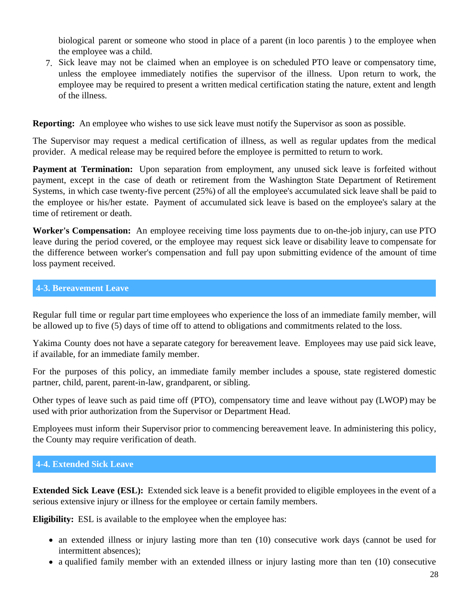<span id="page-27-0"></span>biological parent or someone who stood in place of a parent (in loco parentis ) to the employee when the employee was a child.

7. Sick leave may not be claimed when an employee is on scheduled PTO leave or compensatory time, unless the employee immediately notifies the supervisor of the illness. Upon return to work, the employee may be required to present a written medical certification stating the nature, extent and length of the illness.

**Reporting:** An employee who wishes to use sick leave must notify the Supervisor as soon as possible.

The Supervisor may request a medical certification of illness, as well as regular updates from the medical provider. A medical release may be required before the employee is permitted to return to work.

**Payment at Termination:** Upon separation from employment, any unused sick leave is forfeited without payment, except in the case of death or retirement from the Washington State Department of Retirement Systems, in which case twenty-five percent (25%) of all the employee's accumulated sick leave shall be paid to the employee or his/her estate. Payment of accumulated sick leave is based on the employee's salary at the time of retirement or death

**Worker's Compensation:** An employee receiving time loss payments due to on-the-job injury, can use PTO leave during the period covered, or the employee may request sick leave or disability leave to compensate for the difference between worker's compensation and full pay upon submitting evidence of the amount of time loss payment received.

#### **4-3. Bereavement Leave**

Regular full time or regular part time employees who experience the loss of an immediate family member, will be allowed up to five (5) days of time off to attend to obligations and commitments related to the loss.

Yakima County does not have a separate category for bereavement leave. Employees may use paid sick leave, if available, for an immediate family member.

For the purposes of this policy, an immediate family member includes a spouse, state registered domestic partner, child, parent, parent-in-law, grandparent, or sibling.

Other types of leave such as paid time off (PTO), compensatory time and leave without pay (LWOP) may be used with prior authorization from the Supervisor or Department Head.

Employees must inform their Supervisor prior to commencing bereavement leave. In administering this policy, the County may require verification of death.

## **4-4. Extended Sick Leave**

**Extended Sick Leave (ESL):** Extended sick leave is a benefit provided to eligible employees in the event of a serious extensive injury or illness for the employee or certain family members.

**Eligibility:** ESL is available to the employee when the employee has:

- an extended illness or injury lasting more than ten (10) consecutive work days (cannot be used for intermittent absences);
- a qualified family member with an extended illness or injury lasting more than ten (10) consecutive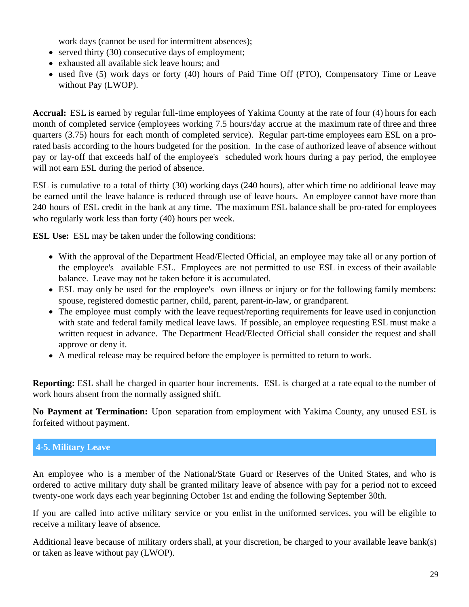work days (cannot be used for intermittent absences);

- <span id="page-28-0"></span> $\bullet$  served thirty (30) consecutive days of employment;
- exhausted all available sick leave hours; and
- used five (5) work days or forty (40) hours of Paid Time Off (PTO), Compensatory Time or Leave without Pay (LWOP).

**Accrual:** ESL is earned by regular full-time employees of Yakima County at the rate of four (4) hours for each month of completed service (employees working 7.5 hours/day accrue at the maximum rate of three and three quarters (3.75) hours for each month of completed service). Regular part-time employees earn ESL on a prorated basis according to the hours budgeted for the position. In the case of authorized leave of absence without pay or lay-off that exceeds half of the employee's scheduled work hours during a pay period, the employee will not earn ESL during the period of absence.

ESL is cumulative to a total of thirty (30) working days (240 hours), after which time no additional leave may be earned until the leave balance is reduced through use of leave hours. An employee cannot have more than 240 hours of ESL credit in the bank at any time. The maximum ESL balance shall be pro-rated for employees who regularly work less than forty (40) hours per week.

**ESL Use:** ESL may be taken under the following conditions:

- With the approval of the Department Head/Elected Official, an employee may take all or any portion of the employee's available ESL. Employees are not permitted to use ESL in excess of their available balance. Leave may not be taken before it is accumulated.
- ESL may only be used for the employee's own illness or injury or for the following family members: spouse, registered domestic partner, child, parent, parent-in-law, or grandparent.
- The employee must comply with the leave request/reporting requirements for leave used in conjunction with state and federal family medical leave laws. If possible, an employee requesting ESL must make a written request in advance. The Department Head/Elected Official shall consider the request and shall approve or deny it.
- A medical release may be required before the employee is permitted to return to work.

**Reporting:** ESL shall be charged in quarter hour increments. ESL is charged at a rate equal to the number of work hours absent from the normally assigned shift.

**No Payment at Termination:** Upon separation from employment with Yakima County, any unused ESL is forfeited without payment.

## **4-5. Military Leave**

An employee who is a member of the National/State Guard or Reserves of the United States, and who is ordered to active military duty shall be granted military leave of absence with pay for a period not to exceed twenty-one work days each year beginning October 1st and ending the following September 30th.

If you are called into active military service or you enlist in the uniformed services, you will be eligible to receive a military leave of absence.

Additional leave because of military orders shall, at your discretion, be charged to your available leave bank(s) or taken as leave without pay (LWOP).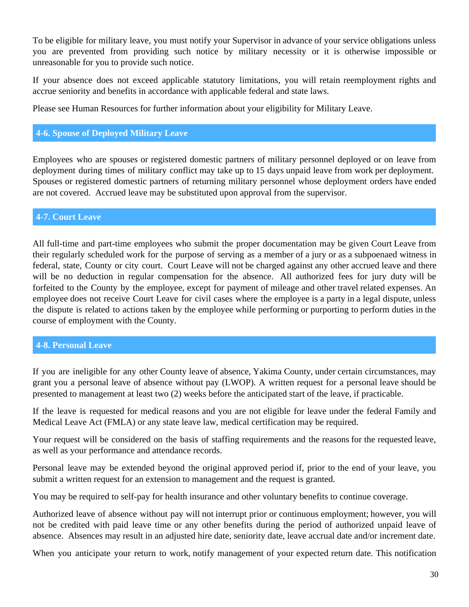<span id="page-29-0"></span>To be eligible for military leave, you must notify your Supervisor in advance of your service obligations unless you are prevented from providing such notice by military necessity or it is otherwise impossible or unreasonable for you to provide such notice.

If your absence does not exceed applicable statutory limitations, you will retain reemployment rights and accrue seniority and benefits in accordance with applicable federal and state laws.

Please see Human Resources for further information about your eligibility for Military Leave.

## **4-6. Spouse of Deployed Military Leave**

Employees who are spouses or registered domestic partners of military personnel deployed or on leave from deployment during times of military conflict may take up to 15 days unpaid leave from work per deployment. Spouses or registered domestic partners of returning military personnel whose deployment orders have ended are not covered. Accrued leave may be substituted upon approval from the supervisor.

## **4-7. Court Leave**

All full-time and part-time employees who submit the proper documentation may be given Court Leave from their regularly scheduled work for the purpose of serving as a member of a jury or as a subpoenaed witness in federal, state, County or city court. Court Leave will not be charged against any other accrued leave and there will be no deduction in regular compensation for the absence. All authorized fees for jury duty will be forfeited to the County by the employee, except for payment of mileage and other travel related expenses. An employee does not receive Court Leave for civil cases where the employee is a party in a legal dispute, unless the dispute is related to actions taken by the employee while performing or purporting to perform duties in the course of employment with the County.

#### **4-8. Personal Leave**

If you are ineligible for any other County leave of absence, Yakima County, under certain circumstances, may grant you a personal leave of absence without pay (LWOP). A written request for a personal leave should be presented to management at least two (2) weeks before the anticipated start of the leave, if practicable.

If the leave is requested for medical reasons and you are not eligible for leave under the federal Family and Medical Leave Act (FMLA) or any state leave law, medical certification may be required.

Your request will be considered on the basis of staffing requirements and the reasons for the requested leave, as well as your performance and attendance records.

Personal leave may be extended beyond the original approved period if, prior to the end of your leave, you submit a written request for an extension to management and the request is granted.

You may be required to self-pay for health insurance and other voluntary benefits to continue coverage.

Authorized leave of absence without pay will not interrupt prior or continuous employment; however, you will not be credited with paid leave time or any other benefits during the period of authorized unpaid leave of absence. Absences may result in an adjusted hire date, seniority date, leave accrual date and/or increment date.

When you anticipate your return to work, notify management of your expected return date. This notification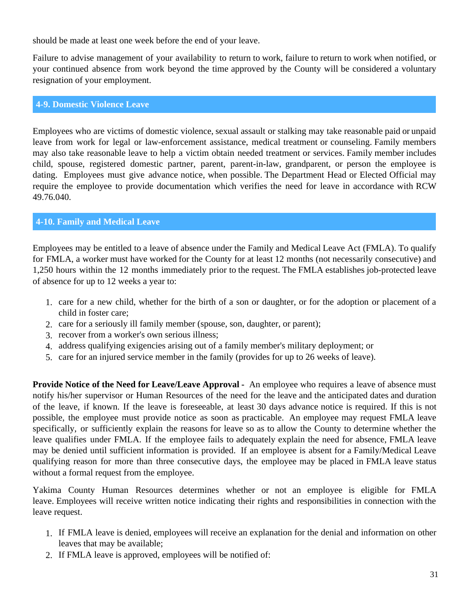<span id="page-30-0"></span>should be made at least one week before the end of your leave.

Failure to advise management of your availability to return to work, failure to return to work when notified, or your continued absence from work beyond the time approved by the County will be considered a voluntary resignation of your employment.

## **4-9. Domestic Violence Leave**

Employees who are victims of domestic violence, sexual assault or stalking may take reasonable paid or unpaid leave from work for legal or law-enforcement assistance, medical treatment or counseling. Family members may also take reasonable leave to help a victim obtain needed treatment or services. Family member includes child, spouse, registered domestic partner, parent, parent-in-law, grandparent, or person the employee is dating. Employees must give advance notice, when possible. The Department Head or Elected Official may require the employee to provide documentation which verifies the need for leave in accordance with RCW 49.76.040.

## **4-10. Family and Medical Leave**

Employees may be entitled to a leave of absence under the Family and Medical Leave Act (FMLA). To qualify for FMLA, a worker must have worked for the County for at least 12 months (not necessarily consecutive) and 1,250 hours within the 12 months immediately prior to the request. The FMLA establishes job-protected leave of absence for up to 12 weeks a year to:

- 1. care for a new child, whether for the birth of a son or daughter, or for the adoption or placement of a child in foster care;
- 2. care for a seriously ill family member (spouse, son, daughter, or parent);
- 3. recover from a worker's own serious illness;
- 4. address qualifying exigencies arising out of a family member's military deployment; or
- 5. care for an injured service member in the family (provides for up to 26 weeks of leave).

**Provide Notice of the Need for Leave/Leave Approval -** An employee who requires a leave of absence must notify his/her supervisor or Human Resources of the need for the leave and the anticipated dates and duration of the leave, if known. If the leave is foreseeable, at least 30 days advance notice is required. If this is not possible, the employee must provide notice as soon as practicable. An employee may request FMLA leave specifically, or sufficiently explain the reasons for leave so as to allow the County to determine whether the leave qualifies under FMLA. If the employee fails to adequately explain the need for absence, FMLA leave may be denied until sufficient information is provided. If an employee is absent for a Family/Medical Leave qualifying reason for more than three consecutive days, the employee may be placed in FMLA leave status without a formal request from the employee.

Yakima County Human Resources determines whether or not an employee is eligible for FMLA leave. Employees will receive written notice indicating their rights and responsibilities in connection with the leave request.

- 1. If FMLA leave is denied, employees will receive an explanation for the denial and information on other leaves that may be available;
- 2. If FMLA leave is approved, employees will be notified of: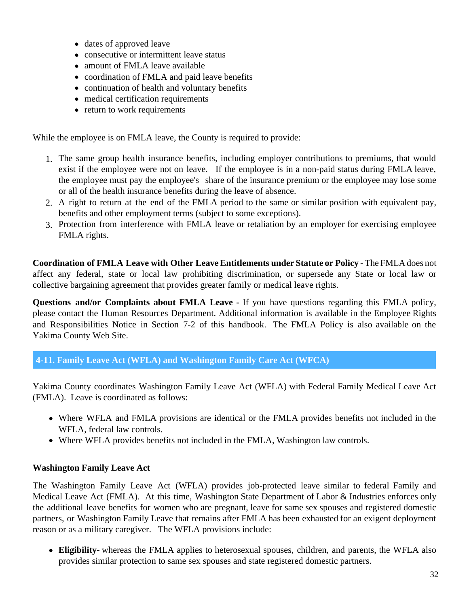- <span id="page-31-0"></span>dates of approved leave
- consecutive or intermittent leave status
- amount of FMLA leave available
- coordination of FMLA and paid leave benefits
- continuation of health and voluntary benefits
- medical certification requirements
- return to work requirements

While the employee is on FMLA leave, the County is required to provide:

- 1. The same group health insurance benefits, including employer contributions to premiums, that would exist if the employee were not on leave. If the employee is in a non-paid status during FMLA leave, the employee must pay the employee's share of the insurance premium or the employee may lose some or all of the health insurance benefits during the leave of absence.
- 2. A right to return at the end of the FMLA period to the same or similar position with equivalent pay, benefits and other employment terms (subject to some exceptions).
- 3. Protection from interference with FMLA leave or retaliation by an employer for exercising employee FMLA rights.

**Coordination of FMLA Leave with Other LeaveEntitlements under Statute or Policy -** The FMLA does not affect any federal, state or local law prohibiting discrimination, or supersede any State or local law or collective bargaining agreement that provides greater family or medical leave rights.

**Questions and/or Complaints about FMLA Leave -** If you have questions regarding this FMLA policy, please contact the Human Resources Department. Additional information is available in the Employee Rights and Responsibilities Notice in Section 7-2 of this handbook. The FMLA Policy is also available on the Yakima County Web Site.

**4-11. Family Leave Act (WFLA) and Washington Family Care Act (WFCA)**

Yakima County coordinates Washington Family Leave Act (WFLA) with Federal Family Medical Leave Act (FMLA). Leave is coordinated as follows:

- Where WFLA and FMLA provisions are identical or the FMLA provides benefits not included in the WFLA, federal law controls.
- Where WFLA provides benefits not included in the FMLA, Washington law controls.

## **Washington Family Leave Act**

The Washington Family Leave Act (WFLA) provides job-protected leave similar to federal Family and Medical Leave Act (FMLA). At this time, Washington State Department of Labor & Industries enforces only the additional leave benefits for women who are pregnant, leave for same sex spouses and registered domestic partners, or Washington Family Leave that remains after FMLA has been exhausted for an exigent deployment reason or as a military caregiver. The WFLA provisions include:

**Eligibility-** whereas the FMLA applies to heterosexual spouses, children, and parents, the WFLA also provides similar protection to same sex spouses and state registered domestic partners.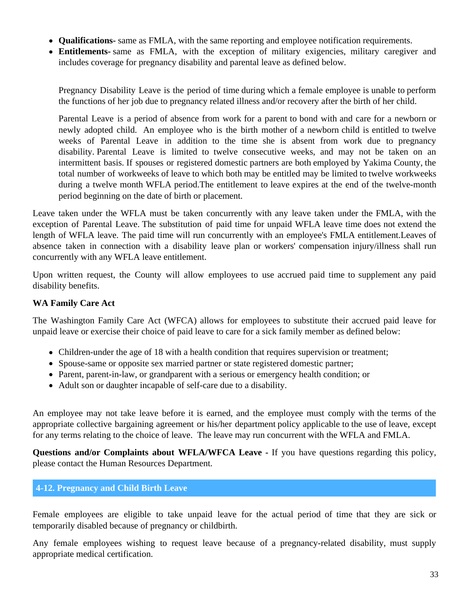- <span id="page-32-0"></span>**Qualifications-** same as FMLA, with the same reporting and employee notification requirements.
- **Entitlements-** same as FMLA, with the exception of military exigencies, military caregiver and includes coverage for pregnancy disability and parental leave as defined below.

Pregnancy Disability Leave is the period of time during which a female employee is unable to perform the functions of her job due to pregnancy related illness and/or recovery after the birth of her child.

Parental Leave is a period of absence from work for a parent to bond with and care for a newborn or newly adopted child. An employee who is the birth mother of a newborn child is entitled to twelve weeks of Parental Leave in addition to the time she is absent from work due to pregnancy disability. Parental Leave is limited to twelve consecutive weeks, and may not be taken on an intermittent basis. If spouses or registered domestic partners are both employed by Yakima County, the total number of workweeks of leave to which both may be entitled may be limited to twelve workweeks during a twelve month WFLA period.The entitlement to leave expires at the end of the twelve-month period beginning on the date of birth or placement.

Leave taken under the WFLA must be taken concurrently with any leave taken under the FMLA, with the exception of Parental Leave. The substitution of paid time for unpaid WFLA leave time does not extend the length of WFLA leave. The paid time will run concurrently with an employee's FMLA entitlement.Leaves of absence taken in connection with a disability leave plan or workers' compensation injury/illness shall run concurrently with any WFLA leave entitlement.

Upon written request, the County will allow employees to use accrued paid time to supplement any paid disability benefits.

## **WA Family Care Act**

The Washington Family Care Act (WFCA) allows for employees to substitute their accrued paid leave for unpaid leave or exercise their choice of paid leave to care for a sick family member as defined below:

- Children-under the age of 18 with a health condition that requires supervision or treatment;
- Spouse-same or opposite sex married partner or state registered domestic partner;
- Parent, parent-in-law, or grandparent with a serious or emergency health condition; or
- Adult son or daughter incapable of self-care due to a disability.

An employee may not take leave before it is earned, and the employee must comply with the terms of the appropriate collective bargaining agreement or his/her department policy applicable to the use of leave, except for any terms relating to the choice of leave. The leave may run concurrent with the WFLA and FMLA.

**Questions and/or Complaints about WFLA/WFCA Leave -** If you have questions regarding this policy, please contact the Human Resources Department.

#### **4-12. Pregnancy and Child Birth Leave**

Female employees are eligible to take unpaid leave for the actual period of time that they are sick or temporarily disabled because of pregnancy or childbirth.

Any female employees wishing to request leave because of a pregnancy-related disability, must supply appropriate medical certification.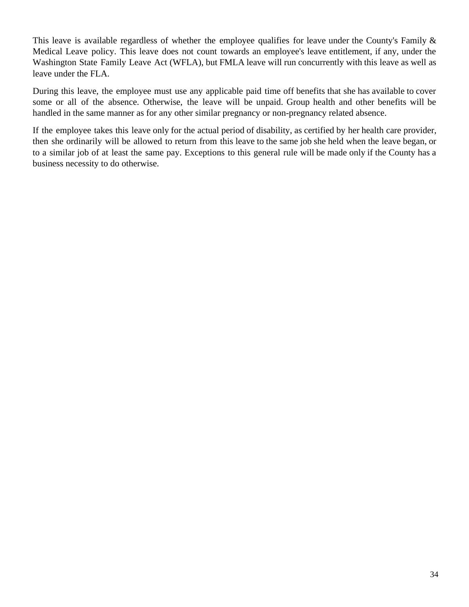This leave is available regardless of whether the employee qualifies for leave under the County's Family & Medical Leave policy. This leave does not count towards an employee's leave entitlement, if any, under the Washington State Family Leave Act (WFLA), but FMLA leave will run concurrently with this leave as well as leave under the FLA.

During this leave, the employee must use any applicable paid time off benefits that she has available to cover some or all of the absence. Otherwise, the leave will be unpaid. Group health and other benefits will be handled in the same manner as for any other similar pregnancy or non-pregnancy related absence.

If the employee takes this leave only for the actual period of disability, as certified by her health care provider, then she ordinarily will be allowed to return from this leave to the same job she held when the leave began, or to a similar job of at least the same pay. Exceptions to this general rule will be made only if the County has a business necessity to do otherwise.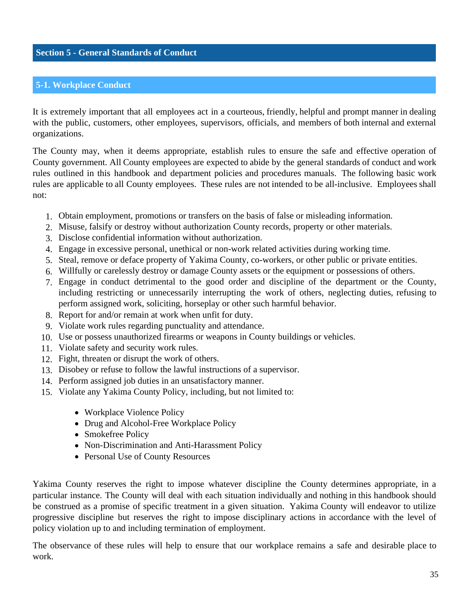### <span id="page-34-0"></span>**5-1. Workplace Conduct**

It is extremely important that all employees act in a courteous, friendly, helpful and prompt manner in dealing with the public, customers, other employees, supervisors, officials, and members of both internal and external organizations.

The County may, when it deems appropriate, establish rules to ensure the safe and effective operation of County government. All County employees are expected to abide by the general standards of conduct and work rules outlined in this handbook and department policies and procedures manuals. The following basic work rules are applicable to all County employees. These rules are not intended to be all-inclusive. Employees shall not:

- 1. Obtain employment, promotions or transfers on the basis of false or misleading information.
- 2. Misuse, falsify or destroy without authorization County records, property or other materials.
- 3. Disclose confidential information without authorization.
- 4. Engage in excessive personal, unethical or non-work related activities during working time.
- 5. Steal, remove or deface property of Yakima County, co-workers, or other public or private entities.
- 6. Willfully or carelessly destroy or damage County assets or the equipment or possessions of others.
- 7. Engage in conduct detrimental to the good order and discipline of the department or the County, including restricting or unnecessarily interrupting the work of others, neglecting duties, refusing to perform assigned work, soliciting, horseplay or other such harmful behavior.
- 8. Report for and/or remain at work when unfit for duty.
- 9. Violate work rules regarding punctuality and attendance.
- 10. Use or possess unauthorized firearms or weapons in County buildings or vehicles.
- 11. Violate safety and security work rules.
- 12. Fight, threaten or disrupt the work of others.
- 13. Disobey or refuse to follow the lawful instructions of a supervisor.
- 14. Perform assigned job duties in an unsatisfactory manner.
- 15. Violate any Yakima County Policy, including, but not limited to:
	- Workplace Violence Policy
	- Drug and Alcohol-Free Workplace Policy
	- Smokefree Policy
	- Non-Discrimination and Anti-Harassment Policy
	- Personal Use of County Resources

Yakima County reserves the right to impose whatever discipline the County determines appropriate, in a particular instance. The County will deal with each situation individually and nothing in this handbook should be construed as a promise of specific treatment in a given situation. Yakima County will endeavor to utilize progressive discipline but reserves the right to impose disciplinary actions in accordance with the level of policy violation up to and including termination of employment.

The observance of these rules will help to ensure that our workplace remains a safe and desirable place to work.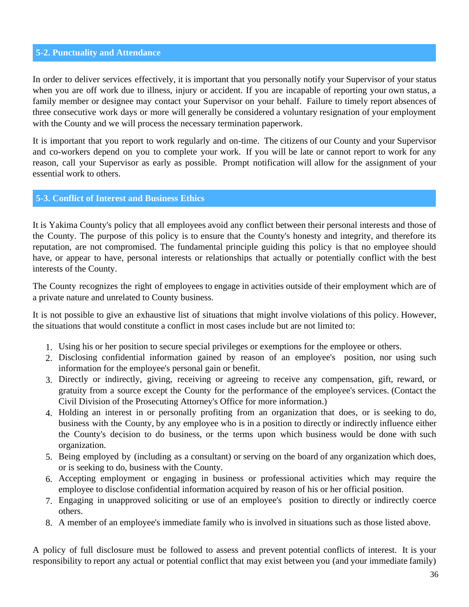## <span id="page-35-0"></span>**5-2. Punctuality and Attendance**

In order to deliver services effectively, it is important that you personally notify your Supervisor of your status when you are off work due to illness, injury or accident. If you are incapable of reporting your own status, a family member or designee may contact your Supervisor on your behalf. Failure to timely report absences of three consecutive work days or more will generally be considered a voluntary resignation of your employment with the County and we will process the necessary termination paperwork.

It is important that you report to work regularly and on-time. The citizens of our County and your Supervisor and co-workers depend on you to complete your work. If you will be late or cannot report to work for any reason, call your Supervisor as early as possible. Prompt notification will allow for the assignment of your essential work to others.

## **5-3. Conflict of Interest and Business Ethics**

It is Yakima County's policy that all employees avoid any conflict between their personal interests and those of the County. The purpose of this policy is to ensure that the County's honesty and integrity, and therefore its reputation, are not compromised. The fundamental principle guiding this policy is that no employee should have, or appear to have, personal interests or relationships that actually or potentially conflict with the best interests of the County.

The County recognizes the right of employees to engage in activities outside of their employment which are of a private nature and unrelated to County business.

It is not possible to give an exhaustive list of situations that might involve violations of this policy. However, the situations that would constitute a conflict in most cases include but are not limited to:

- 1. Using his or her position to secure special privileges or exemptions for the employee or others.
- 2. Disclosing confidential information gained by reason of an employee's position, nor using such information for the employee's personal gain or benefit.
- 3. Directly or indirectly, giving, receiving or agreeing to receive any compensation, gift, reward, or gratuity from a source except the County for the performance of the employee's services. (Contact the Civil Division of the Prosecuting Attorney's Office for more information.)
- 4. Holding an interest in or personally profiting from an organization that does, or is seeking to do, business with the County, by any employee who is in a position to directly or indirectly influence either the County's decision to do business, or the terms upon which business would be done with such organization.
- 5. Being employed by (including as a consultant) or serving on the board of any organization which does, or is seeking to do, business with the County.
- 6. Accepting employment or engaging in business or professional activities which may require the employee to disclose confidential information acquired by reason of his or her official position.
- 7. Engaging in unapproved soliciting or use of an employee's position to directly or indirectly coerce others.
- 8. A member of an employee's immediate family who is involved in situations such as those listed above.

A policy of full disclosure must be followed to assess and prevent potential conflicts of interest. It is your responsibility to report any actual or potential conflict that may exist between you (and your immediate family)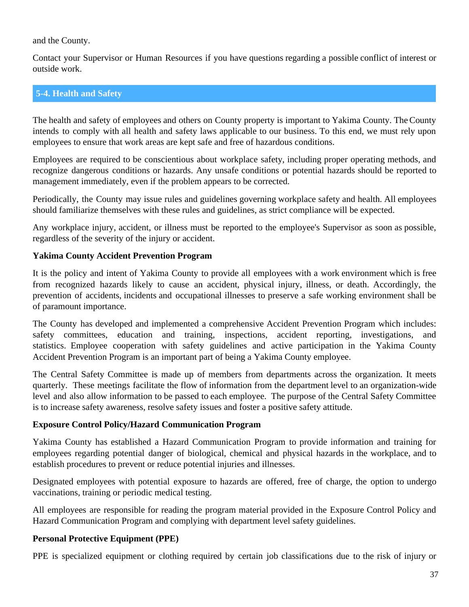<span id="page-36-0"></span>and the County.

Contact your Supervisor or Human Resources if you have questions regarding a possible conflict of interest or outside work.

## **5-4. Health and Safety**

The health and safety of employees and others on County property is important to Yakima County. The County intends to comply with all health and safety laws applicable to our business. To this end, we must rely upon employees to ensure that work areas are kept safe and free of hazardous conditions.

Employees are required to be conscientious about workplace safety, including proper operating methods, and recognize dangerous conditions or hazards. Any unsafe conditions or potential hazards should be reported to management immediately, even if the problem appears to be corrected.

Periodically, the County may issue rules and guidelines governing workplace safety and health. All employees should familiarize themselves with these rules and guidelines, as strict compliance will be expected.

Any workplace injury, accident, or illness must be reported to the employee's Supervisor as soon as possible, regardless of the severity of the injury or accident.

#### **Yakima County Accident Prevention Program**

It is the policy and intent of Yakima County to provide all employees with a work environment which is free from recognized hazards likely to cause an accident, physical injury, illness, or death. Accordingly, the prevention of accidents, incidents and occupational illnesses to preserve a safe working environment shall be of paramount importance.

The County has developed and implemented a comprehensive Accident Prevention Program which includes: safety committees, education and training, inspections, accident reporting, investigations, and statistics. Employee cooperation with safety guidelines and active participation in the Yakima County Accident Prevention Program is an important part of being a Yakima County employee.

The Central Safety Committee is made up of members from departments across the organization. It meets quarterly. These meetings facilitate the flow of information from the department level to an organization-wide level and also allow information to be passed to each employee. The purpose of the Central Safety Committee is to increase safety awareness, resolve safety issues and foster a positive safety attitude.

#### **Exposure Control Policy/Hazard Communication Program**

Yakima County has established a Hazard Communication Program to provide information and training for employees regarding potential danger of biological, chemical and physical hazards in the workplace, and to establish procedures to prevent or reduce potential injuries and illnesses.

Designated employees with potential exposure to hazards are offered, free of charge, the option to undergo vaccinations, training or periodic medical testing.

All employees are responsible for reading the program material provided in the Exposure Control Policy and Hazard Communication Program and complying with department level safety guidelines.

#### **Personal Protective Equipment (PPE)**

PPE is specialized equipment or clothing required by certain job classifications due to the risk of injury or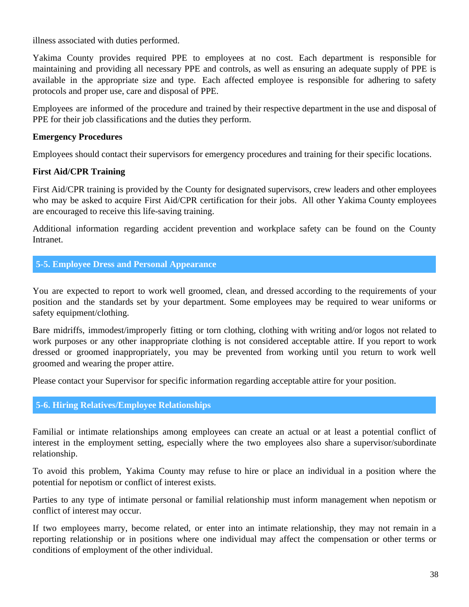<span id="page-37-0"></span>illness associated with duties performed.

Yakima County provides required PPE to employees at no cost. Each department is responsible for maintaining and providing all necessary PPE and controls, as well as ensuring an adequate supply of PPE is available in the appropriate size and type. Each affected employee is responsible for adhering to safety protocols and proper use, care and disposal of PPE.

Employees are informed of the procedure and trained by their respective department in the use and disposal of PPE for their job classifications and the duties they perform.

## **Emergency Procedures**

Employees should contact their supervisors for emergency procedures and training for their specific locations.

## **First Aid/CPR Training**

First Aid/CPR training is provided by the County for designated supervisors, crew leaders and other employees who may be asked to acquire First Aid/CPR certification for their jobs. All other Yakima County employees are encouraged to receive this life-saving training.

Additional information regarding accident prevention and workplace safety can be found on the County **Intranet** 

## **5-5. Employee Dress and Personal Appearance**

You are expected to report to work well groomed, clean, and dressed according to the requirements of your position and the standards set by your department. Some employees may be required to wear uniforms or safety equipment/clothing.

Bare midriffs, immodest/improperly fitting or torn clothing, clothing with writing and/or logos not related to work purposes or any other inappropriate clothing is not considered acceptable attire. If you report to work dressed or groomed inappropriately, you may be prevented from working until you return to work well groomed and wearing the proper attire.

Please contact your Supervisor for specific information regarding acceptable attire for your position.

## **5-6. Hiring Relatives/Employee Relationships**

Familial or intimate relationships among employees can create an actual or at least a potential conflict of interest in the employment setting, especially where the two employees also share a supervisor/subordinate relationship.

To avoid this problem, Yakima County may refuse to hire or place an individual in a position where the potential for nepotism or conflict of interest exists.

Parties to any type of intimate personal or familial relationship must inform management when nepotism or conflict of interest may occur.

If two employees marry, become related, or enter into an intimate relationship, they may not remain in a reporting relationship or in positions where one individual may affect the compensation or other terms or conditions of employment of the other individual.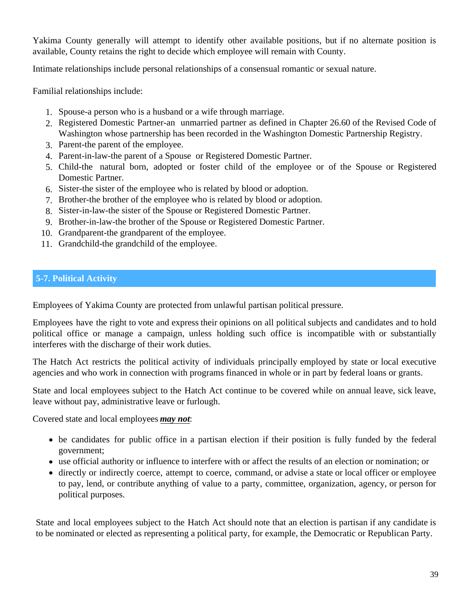<span id="page-38-0"></span>Yakima County generally will attempt to identify other available positions, but if no alternate position is available, County retains the right to decide which employee will remain with County.

Intimate relationships include personal relationships of a consensual romantic or sexual nature.

Familial relationships include:

- 1. Spouse-a person who is a husband or a wife through marriage.
- 2. Registered Domestic Partner-an unmarried partner as defined in Chapter 26.60 of the Revised Code of Washington whose partnership has been recorded in the Washington Domestic Partnership Registry.
- 3. Parent-the parent of the employee.
- 4. Parent-in-law-the parent of a Spouse or Registered Domestic Partner.
- 5. Child-the natural born, adopted or foster child of the employee or of the Spouse or Registered Domestic Partner.
- 6. Sister-the sister of the employee who is related by blood or adoption.
- 7. Brother-the brother of the employee who is related by blood or adoption.
- 8. Sister-in-law-the sister of the Spouse or Registered Domestic Partner.
- 9. Brother-in-law-the brother of the Spouse or Registered Domestic Partner.
- 10. Grandparent-the grandparent of the employee.
- 11. Grandchild-the grandchild of the employee.

## **5-7. Political Activity**

Employees of Yakima County are protected from unlawful partisan political pressure.

Employees have the right to vote and express their opinions on all political subjects and candidates and to hold political office or manage a campaign, unless holding such office is incompatible with or substantially interferes with the discharge of their work duties.

The Hatch Act restricts the political activity of individuals principally employed by state or local executive agencies and who work in connection with programs financed in whole or in part by federal loans or grants.

State and local employees subject to the Hatch Act continue to be covered while on annual leave, sick leave, leave without pay, administrative leave or furlough.

Covered state and local employees *may not*:

- be candidates for public office in a partisan election if their position is fully funded by the federal government;
- use official authority or influence to interfere with or affect the results of an election or nomination; or
- directly or indirectly coerce, attempt to coerce, command, or advise a state or local officer or employee to pay, lend, or contribute anything of value to a party, committee, organization, agency, or person for political purposes.

State and local employees subject to the Hatch Act should note that an election is partisan if any candidate is to be nominated or elected as representing a political party, for example, the Democratic or Republican Party.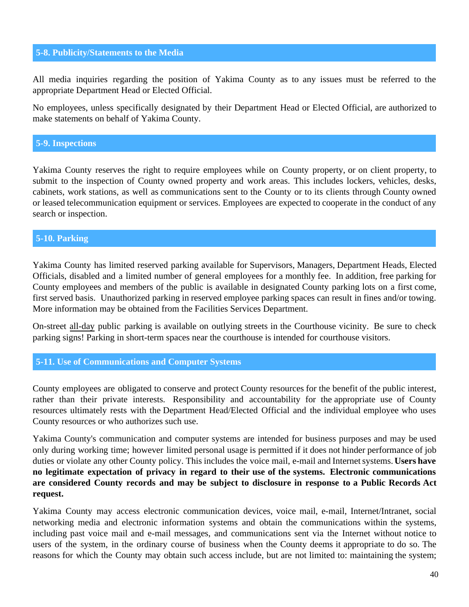#### <span id="page-39-0"></span>**5-8. Publicity/Statements to the Media**

All media inquiries regarding the position of Yakima County as to any issues must be referred to the appropriate Department Head or Elected Official.

No employees, unless specifically designated by their Department Head or Elected Official, are authorized to make statements on behalf of Yakima County.

#### **5-9. Inspections**

Yakima County reserves the right to require employees while on County property, or on client property, to submit to the inspection of County owned property and work areas. This includes lockers, vehicles, desks, cabinets, work stations, as well as communications sent to the County or to its clients through County owned or leased telecommunication equipment or services. Employees are expected to cooperate in the conduct of any search or inspection.

## **5-10. Parking**

Yakima County has limited reserved parking available for Supervisors, Managers, Department Heads, Elected Officials, disabled and a limited number of general employees for a monthly fee. In addition, free parking for County employees and members of the public is available in designated County parking lots on a first come, first served basis. Unauthorized parking in reserved employee parking spaces can result in fines and/or towing. More information may be obtained from the Facilities Services Department.

On-street all-day public parking is available on outlying streets in the Courthouse vicinity. Be sure to check parking signs! Parking in short-term spaces near the courthouse is intended for courthouse visitors.

#### **5-11. Use of Communications and Computer Systems**

County employees are obligated to conserve and protect County resources for the benefit of the public interest, rather than their private interests. Responsibility and accountability for the appropriate use of County resources ultimately rests with the Department Head/Elected Official and the individual employee who uses County resources or who authorizes such use.

Yakima County's communication and computer systems are intended for business purposes and may be used only during working time; however limited personal usage is permitted if it does not hinder performance of job duties or violate any other County policy. This includes the voice mail, e-mail and Internetsystems. **Users have no legitimate expectation of privacy in regard to their use of the systems. Electronic communications are considered County records and may be subject to disclosure in response to a Public Records Act request.**

Yakima County may access electronic communication devices, voice mail, e-mail, Internet/Intranet, social networking media and electronic information systems and obtain the communications within the systems, including past voice mail and e-mail messages, and communications sent via the Internet without notice to users of the system, in the ordinary course of business when the County deems it appropriate to do so. The reasons for which the County may obtain such access include, but are not limited to: maintaining the system;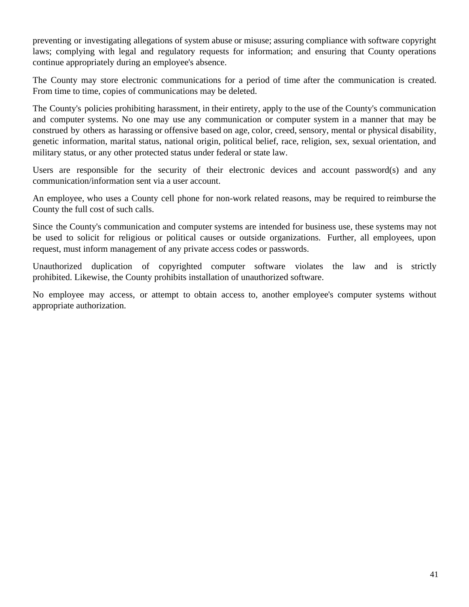preventing or investigating allegations of system abuse or misuse; assuring compliance with software copyright laws; complying with legal and regulatory requests for information; and ensuring that County operations continue appropriately during an employee's absence.

The County may store electronic communications for a period of time after the communication is created. From time to time, copies of communications may be deleted.

The County's policies prohibiting harassment, in their entirety, apply to the use of the County's communication and computer systems. No one may use any communication or computer system in a manner that may be construed by others as harassing or offensive based on age, color, creed, sensory, mental or physical disability, genetic information, marital status, national origin, political belief, race, religion, sex, sexual orientation, and military status, or any other protected status under federal or state law.

Users are responsible for the security of their electronic devices and account password(s) and any communication/information sent via a user account.

An employee, who uses a County cell phone for non-work related reasons, may be required to reimburse the County the full cost of such calls.

Since the County's communication and computer systems are intended for business use, these systems may not be used to solicit for religious or political causes or outside organizations. Further, all employees, upon request, must inform management of any private access codes or passwords.

Unauthorized duplication of copyrighted computer software violates the law and is strictly prohibited. Likewise, the County prohibits installation of unauthorized software.

No employee may access, or attempt to obtain access to, another employee's computer systems without appropriate authorization.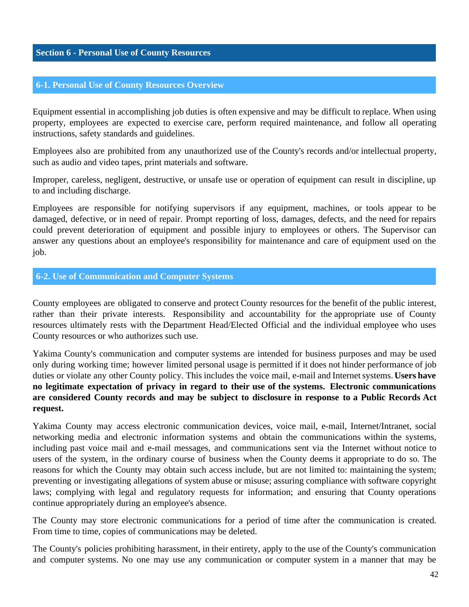#### <span id="page-41-0"></span>**Section 6 - Personal Use of County Resources**

#### **6-1. Personal Use of County Resources Overview**

Equipment essential in accomplishing job duties is often expensive and may be difficult to replace. When using property, employees are expected to exercise care, perform required maintenance, and follow all operating instructions, safety standards and guidelines.

Employees also are prohibited from any unauthorized use of the County's records and/or intellectual property, such as audio and video tapes, print materials and software.

Improper, careless, negligent, destructive, or unsafe use or operation of equipment can result in discipline, up to and including discharge.

Employees are responsible for notifying supervisors if any equipment, machines, or tools appear to be damaged, defective, or in need of repair. Prompt reporting of loss, damages, defects, and the need for repairs could prevent deterioration of equipment and possible injury to employees or others. The Supervisor can answer any questions about an employee's responsibility for maintenance and care of equipment used on the job.

#### **6-2. Use of Communication and Computer Systems**

County employees are obligated to conserve and protect County resources for the benefit of the public interest, rather than their private interests. Responsibility and accountability for the appropriate use of County resources ultimately rests with the Department Head/Elected Official and the individual employee who uses County resources or who authorizes such use.

Yakima County's communication and computer systems are intended for business purposes and may be used only during working time; however limited personal usage is permitted if it does not hinder performance of job duties or violate any other County policy. This includes the voice mail, e-mail and Internet systems. Users have **no legitimate expectation of privacy in regard to their use of the systems. Electronic communications are considered County records and may be subject to disclosure in response to a Public Records Act request.**

Yakima County may access electronic communication devices, voice mail, e-mail, Internet/Intranet, social networking media and electronic information systems and obtain the communications within the systems, including past voice mail and e-mail messages, and communications sent via the Internet without notice to users of the system, in the ordinary course of business when the County deems it appropriate to do so. The reasons for which the County may obtain such access include, but are not limited to: maintaining the system; preventing or investigating allegations of system abuse or misuse; assuring compliance with software copyright laws; complying with legal and regulatory requests for information; and ensuring that County operations continue appropriately during an employee's absence.

The County may store electronic communications for a period of time after the communication is created. From time to time, copies of communications may be deleted.

The County's policies prohibiting harassment, in their entirety, apply to the use of the County's communication and computer systems. No one may use any communication or computer system in a manner that may be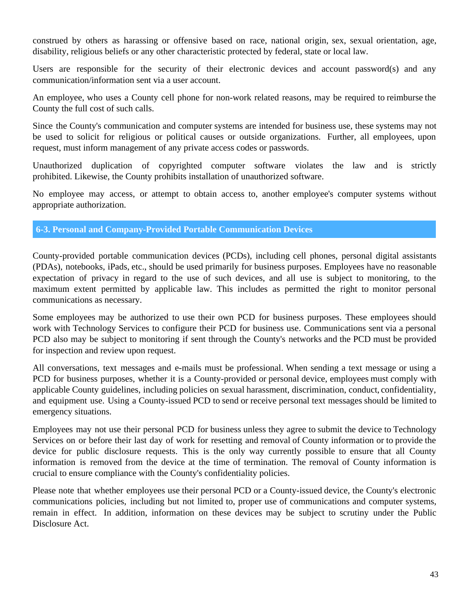<span id="page-42-0"></span>construed by others as harassing or offensive based on race, national origin, sex, sexual orientation, age, disability, religious beliefs or any other characteristic protected by federal, state or local law.

Users are responsible for the security of their electronic devices and account password(s) and any communication/information sent via a user account.

An employee, who uses a County cell phone for non-work related reasons, may be required to reimburse the County the full cost of such calls.

Since the County's communication and computer systems are intended for business use, these systems may not be used to solicit for religious or political causes or outside organizations. Further, all employees, upon request, must inform management of any private access codes or passwords.

Unauthorized duplication of copyrighted computer software violates the law and is strictly prohibited. Likewise, the County prohibits installation of unauthorized software.

No employee may access, or attempt to obtain access to, another employee's computer systems without appropriate authorization.

## **6-3. Personal and Company-Provided Portable Communication Devices**

County-provided portable communication devices (PCDs), including cell phones, personal digital assistants (PDAs), notebooks, iPads, etc., should be used primarily for business purposes. Employees have no reasonable expectation of privacy in regard to the use of such devices, and all use is subject to monitoring, to the maximum extent permitted by applicable law. This includes as permitted the right to monitor personal communications as necessary.

Some employees may be authorized to use their own PCD for business purposes. These employees should work with Technology Services to configure their PCD for business use. Communications sent via a personal PCD also may be subject to monitoring if sent through the County's networks and the PCD must be provided for inspection and review upon request.

All conversations, text messages and e-mails must be professional. When sending a text message or using a PCD for business purposes, whether it is a County-provided or personal device, employees must comply with applicable County guidelines, including policies on sexual harassment, discrimination, conduct, confidentiality, and equipment use. Using a County-issued PCD to send or receive personal text messages should be limited to emergency situations.

Employees may not use their personal PCD for business unless they agree to submit the device to Technology Services on or before their last day of work for resetting and removal of County information or to provide the device for public disclosure requests. This is the only way currently possible to ensure that all County information is removed from the device at the time of termination. The removal of County information is crucial to ensure compliance with the County's confidentiality policies.

Please note that whether employees use their personal PCD or a County-issued device, the County's electronic communications policies, including but not limited to, proper use of communications and computer systems, remain in effect. In addition, information on these devices may be subject to scrutiny under the Public Disclosure Act.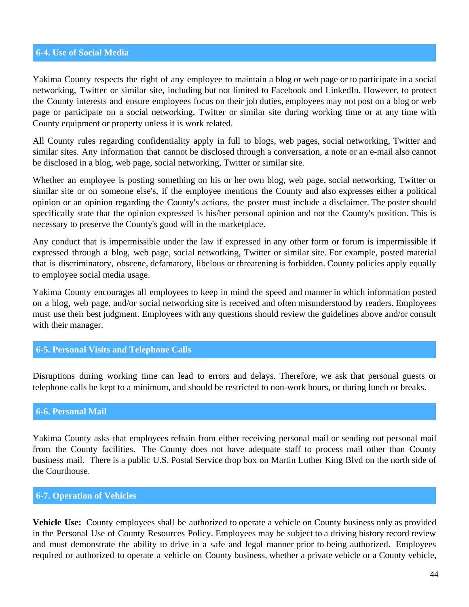### <span id="page-43-0"></span>**6-4. Use of Social Media**

Yakima County respects the right of any employee to maintain a blog or web page or to participate in a social networking, Twitter or similar site, including but not limited to Facebook and LinkedIn. However, to protect the County interests and ensure employees focus on their job duties, employees may not post on a blog or web page or participate on a social networking, Twitter or similar site during working time or at any time with County equipment or property unless it is work related.

All County rules regarding confidentiality apply in full to blogs, web pages, social networking, Twitter and similar sites. Any information that cannot be disclosed through a conversation, a note or an e-mail also cannot be disclosed in a blog, web page, social networking, Twitter or similar site.

Whether an employee is posting something on his or her own blog, web page, social networking, Twitter or similar site or on someone else's, if the employee mentions the County and also expresses either a political opinion or an opinion regarding the County's actions, the poster must include a disclaimer. The poster should specifically state that the opinion expressed is his/her personal opinion and not the County's position. This is necessary to preserve the County's good will in the marketplace.

Any conduct that is impermissible under the law if expressed in any other form or forum is impermissible if expressed through a blog, web page, social networking, Twitter or similar site. For example, posted material that is discriminatory, obscene, defamatory, libelous or threatening is forbidden. County policies apply equally to employee social media usage.

Yakima County encourages all employees to keep in mind the speed and manner in which information posted on a blog, web page, and/or social networking site is received and often misunderstood by readers. Employees must use their best judgment. Employees with any questions should review the guidelines above and/or consult with their manager.

## **6-5. Personal Visits and Telephone Calls**

Disruptions during working time can lead to errors and delays. Therefore, we ask that personal guests or telephone calls be kept to a minimum, and should be restricted to non-work hours, or during lunch or breaks.

#### **6-6. Personal Mail**

Yakima County asks that employees refrain from either receiving personal mail or sending out personal mail from the County facilities. The County does not have adequate staff to process mail other than County business mail. There is a public U.S. Postal Service drop box on Martin Luther King Blvd on the north side of the Courthouse.

#### **6-7. Operation of Vehicles**

**Vehicle Use:** County employees shall be authorized to operate a vehicle on County business only as provided in the Personal Use of County Resources Policy. Employees may be subject to a driving history record review and must demonstrate the ability to drive in a safe and legal manner prior to being authorized. Employees required or authorized to operate a vehicle on County business, whether a private vehicle or a County vehicle,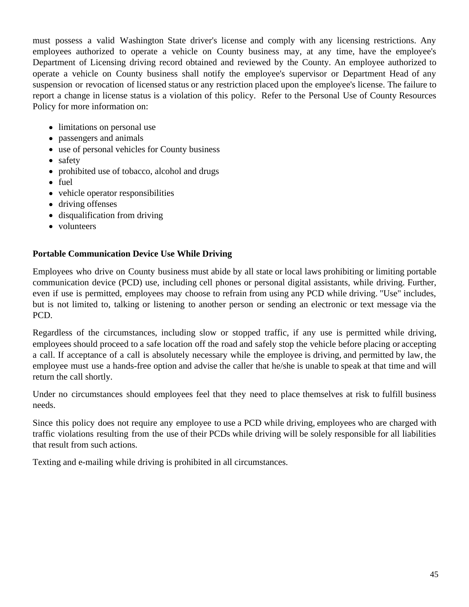must possess a valid Washington State driver's license and comply with any licensing restrictions. Any employees authorized to operate a vehicle on County business may, at any time, have the employee's Department of Licensing driving record obtained and reviewed by the County. An employee authorized to operate a vehicle on County business shall notify the employee's supervisor or Department Head of any suspension or revocation of licensed status or any restriction placed upon the employee's license. The failure to report a change in license status is a violation of this policy. Refer to the Personal Use of County Resources Policy for more information on:

- limitations on personal use
- passengers and animals
- use of personal vehicles for County business
- safety
- prohibited use of tobacco, alcohol and drugs
- fuel
- vehicle operator responsibilities
- driving offenses
- disqualification from driving
- volunteers

## **Portable Communication Device Use While Driving**

Employees who drive on County business must abide by all state or local laws prohibiting or limiting portable communication device (PCD) use, including cell phones or personal digital assistants, while driving. Further, even if use is permitted, employees may choose to refrain from using any PCD while driving. "Use" includes, but is not limited to, talking or listening to another person or sending an electronic or text message via the PCD.

Regardless of the circumstances, including slow or stopped traffic, if any use is permitted while driving, employees should proceed to a safe location off the road and safely stop the vehicle before placing or accepting a call. If acceptance of a call is absolutely necessary while the employee is driving, and permitted by law, the employee must use a hands-free option and advise the caller that he/she is unable to speak at that time and will return the call shortly.

Under no circumstances should employees feel that they need to place themselves at risk to fulfill business needs.

Since this policy does not require any employee to use a PCD while driving, employees who are charged with traffic violations resulting from the use of their PCDs while driving will be solely responsible for all liabilities that result from such actions.

Texting and e-mailing while driving is prohibited in all circumstances.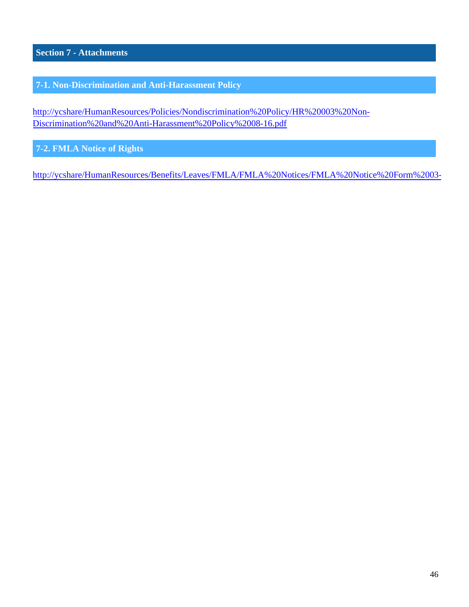<span id="page-45-0"></span>**Section 7 - Attachments**

**7-1. Non-Discrimination and Anti-Harassment Policy**

[http://ycshare/HumanResources/Policies/Nondiscrimination%20Policy/HR%20003%20Non-](http://ycshare/HumanResources/Policies/Nondiscrimination%20Policy/HR%20003%20Non-Discrimination%20and%20Anti-Harassment%20Policy%2008-16.pdf)[Discrimination%20and%20Anti-Harassment%20Policy%2008-16.pdf](http://ycshare/HumanResources/Policies/Nondiscrimination%20Policy/HR%20003%20Non-Discrimination%20and%20Anti-Harassment%20Policy%2008-16.pdf)

**7-2. FMLA Notice of Rights**

http://ycshare/HumanResources/Benefits/Leaves/FMLA/FMLA%20Notices/FMLA%20Notice%20Form%2003-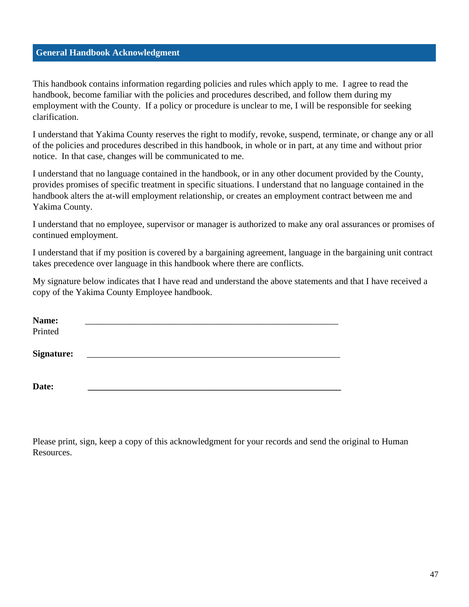## <span id="page-46-0"></span>**General Handbook Acknowledgment**

This handbook contains information regarding policies and rules which apply to me. I agree to read the handbook, become familiar with the policies and procedures described, and follow them during my employment with the County. If a policy or procedure is unclear to me, I will be responsible for seeking clarification.

I understand that Yakima County reserves the right to modify, revoke, suspend, terminate, or change any or all of the policies and procedures described in this handbook, in whole or in part, at any time and without prior notice. In that case, changes will be communicated to me.

I understand that no language contained in the handbook, or in any other document provided by the County, provides promises of specific treatment in specific situations. I understand that no language contained in the handbook alters the at-will employment relationship, or creates an employment contract between me and Yakima County.

I understand that no employee, supervisor or manager is authorized to make any oral assurances or promises of continued employment.

I understand that if my position is covered by a bargaining agreement, language in the bargaining unit contract takes precedence over language in this handbook where there are conflicts.

My signature below indicates that I have read and understand the above statements and that I have received a copy of the Yakima County Employee handbook.

| <b>Name:</b><br>Printed |  |  |  |
|-------------------------|--|--|--|
| <b>Signature:</b>       |  |  |  |
| Date:                   |  |  |  |

Please print, sign, keep a copy of this acknowledgment for your records and send the original to Human Resources.